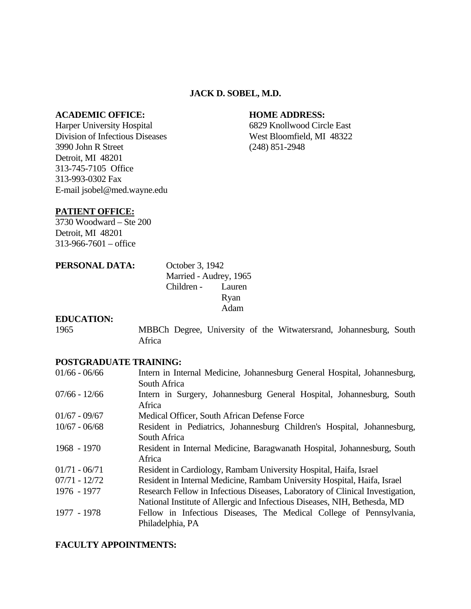#### **JACK D. SOBEL, M.D.**

#### **ACADEMIC OFFICE: HOME ADDRESS:**

Harper University Hospital 6829 Knollwood Circle East Division of Infectious Diseases West Bloomfield, MI 48322 3990 John R Street (248) 851-2948 Detroit, MI 48201 313-745-7105 Office 313-993-0302 Fax E-mail jsobel@med.wayne.edu

#### **PATIENT OFFICE:**

3730 Woodward – Ste 200 Detroit, MI 48201 313-966-7601 – office

## **PERSONAL DATA:** October 3, 1942 Married - Audrey, 1965 Children - Lauren Ryan Adam

#### **EDUCATION:**

1965 MBBCh Degree, University of the Witwatersrand, Johannesburg, South Africa

#### **POSTGRADUATE TRAINING:**

| $01/66 - 06/66$ | Intern in Internal Medicine, Johannesburg General Hospital, Johannesburg,       |
|-----------------|---------------------------------------------------------------------------------|
|                 | South Africa                                                                    |
| $07/66 - 12/66$ | Intern in Surgery, Johannesburg General Hospital, Johannesburg, South<br>Africa |
| $01/67 - 09/67$ | Medical Officer, South African Defense Force                                    |
| $10/67 - 06/68$ | Resident in Pediatrics, Johannesburg Children's Hospital, Johannesburg,         |
|                 | South Africa                                                                    |
| 1968 - 1970     | Resident in Internal Medicine, Baragwanath Hospital, Johannesburg, South        |
|                 | Africa                                                                          |
| $01/71 - 06/71$ | Resident in Cardiology, Rambam University Hospital, Haifa, Israel               |
| $07/71 - 12/72$ | Resident in Internal Medicine, Rambam University Hospital, Haifa, Israel        |
| 1976 - 1977     | Research Fellow in Infectious Diseases, Laboratory of Clinical Investigation,   |
|                 | National Institute of Allergic and Infectious Diseases, NIH, Bethesda, MD       |
| 1977 - 1978     | Fellow in Infectious Diseases, The Medical College of Pennsylvania,             |
|                 | Philadelphia, PA                                                                |

#### **FACULTY APPOINTMENTS:**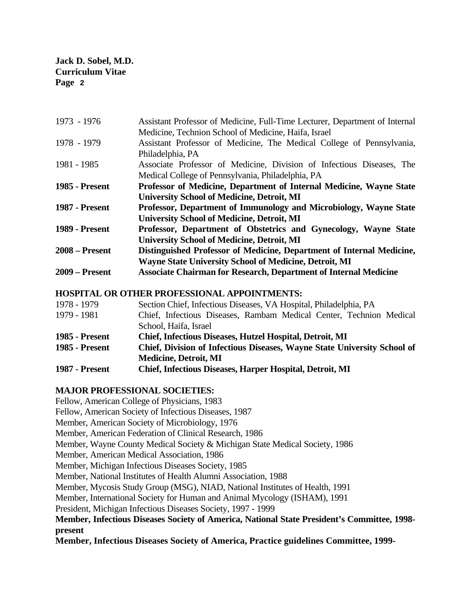| 1973 - 1976           | Assistant Professor of Medicine, Full-Time Lecturer, Department of Internal |
|-----------------------|-----------------------------------------------------------------------------|
|                       | Medicine, Technion School of Medicine, Haifa, Israel                        |
| 1978 - 1979           | Assistant Professor of Medicine, The Medical College of Pennsylvania,       |
|                       | Philadelphia, PA                                                            |
| 1981 - 1985           | Associate Professor of Medicine, Division of Infectious Diseases, The       |
|                       | Medical College of Pennsylvania, Philadelphia, PA                           |
| <b>1985 - Present</b> | Professor of Medicine, Department of Internal Medicine, Wayne State         |
|                       | <b>University School of Medicine, Detroit, MI</b>                           |
| <b>1987 - Present</b> | Professor, Department of Immunology and Microbiology, Wayne State           |
|                       | <b>University School of Medicine, Detroit, MI</b>                           |
| <b>1989 - Present</b> | Professor, Department of Obstetrics and Gynecology, Wayne State             |
|                       | <b>University School of Medicine, Detroit, MI</b>                           |
| $2008 -$ Present      | Distinguished Professor of Medicine, Department of Internal Medicine,       |
|                       | <b>Wayne State University School of Medicine, Detroit, MI</b>               |
| <b>2009 – Present</b> | <b>Associate Chairman for Research, Department of Internal Medicine</b>     |

## **HOSPITAL OR OTHER PROFESSIONAL APPOINTMENTS:**

| 1978 - 1979           | Section Chief, Infectious Diseases, VA Hospital, Philadelphia, PA        |
|-----------------------|--------------------------------------------------------------------------|
| 1979 - 1981           | Chief, Infectious Diseases, Rambam Medical Center, Technion Medical      |
|                       | School, Haifa, Israel                                                    |
| <b>1985 - Present</b> | <b>Chief, Infectious Diseases, Hutzel Hospital, Detroit, MI</b>          |
| <b>1985 - Present</b> | Chief, Division of Infectious Diseases, Wayne State University School of |
|                       | <b>Medicine, Detroit, MI</b>                                             |
| <b>1987 - Present</b> | <b>Chief, Infectious Diseases, Harper Hospital, Detroit, MI</b>          |

## **MAJOR PROFESSIONAL SOCIETIES:**

Fellow, American College of Physicians, 1983 Fellow, American Society of Infectious Diseases, 1987 Member, American Society of Microbiology, 1976 Member, American Federation of Clinical Research, 1986 Member, Wayne County Medical Society & Michigan State Medical Society, 1986 Member, American Medical Association, 1986 Member, Michigan Infectious Diseases Society, 1985 Member, National Institutes of Health Alumni Association, 1988 Member, Mycosis Study Group (MSG), NIAD, National Institutes of Health, 1991 Member, International Society for Human and Animal Mycology (ISHAM), 1991 President, Michigan Infectious Diseases Society, 1997 - 1999 **Member, Infectious Diseases Society of America, National State President's Committee, 1998 present Member, Infectious Diseases Society of America, Practice guidelines Committee, 1999-**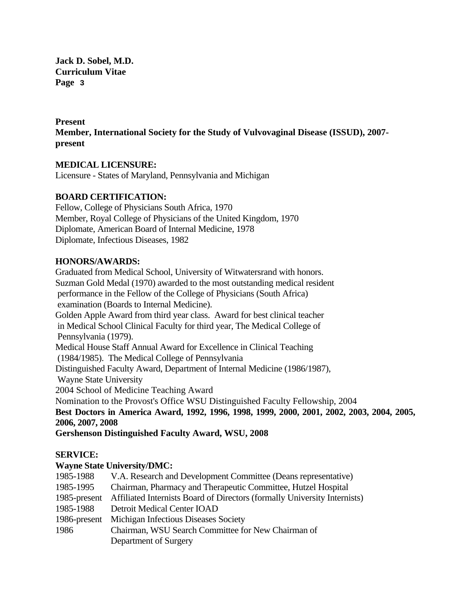## **Present**

**Member, International Society for the Study of Vulvovaginal Disease (ISSUD), 2007 present** 

## **MEDICAL LICENSURE:**

Licensure - States of Maryland, Pennsylvania and Michigan

## **BOARD CERTIFICATION:**

Fellow, College of Physicians South Africa, 1970 Member, Royal College of Physicians of the United Kingdom, 1970 Diplomate, American Board of Internal Medicine, 1978 Diplomate, Infectious Diseases, 1982

## **HONORS/AWARDS:**

Graduated from Medical School, University of Witwatersrand with honors. Suzman Gold Medal (1970) awarded to the most outstanding medical resident performance in the Fellow of the College of Physicians (South Africa) examination (Boards to Internal Medicine). Golden Apple Award from third year class. Award for best clinical teacher in Medical School Clinical Faculty for third year, The Medical College of Pennsylvania (1979). Medical House Staff Annual Award for Excellence in Clinical Teaching (1984/1985). The Medical College of Pennsylvania Distinguished Faculty Award, Department of Internal Medicine (1986/1987), Wayne State University 2004 School of Medicine Teaching Award Nomination to the Provost's Office WSU Distinguished Faculty Fellowship, 2004 **Best Doctors in America Award, 1992, 1996, 1998, 1999, 2000, 2001, 2002, 2003, 2004, 2005, 2006, 2007, 2008** 

**Gershenson Distinguished Faculty Award, WSU, 2008**

## **SERVICE:**

## **Wayne State University/DMC:**

| V.A. Research and Development Committee (Deans representative)            |
|---------------------------------------------------------------------------|
| Chairman, Pharmacy and Therapeutic Committee, Hutzel Hospital             |
| Affiliated Internists Board of Directors (formally University Internists) |
| <b>Detroit Medical Center IOAD</b>                                        |
| Michigan Infectious Diseases Society                                      |
| Chairman, WSU Search Committee for New Chairman of                        |
| Department of Surgery                                                     |
|                                                                           |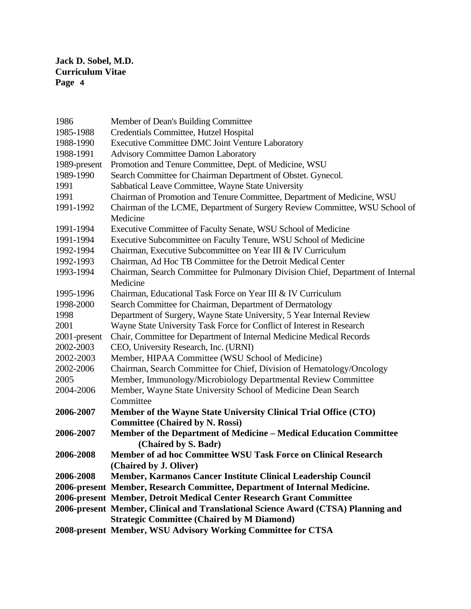| 1986         | Member of Dean's Building Committee                                               |
|--------------|-----------------------------------------------------------------------------------|
| 1985-1988    | Credentials Committee, Hutzel Hospital                                            |
| 1988-1990    | <b>Executive Committee DMC Joint Venture Laboratory</b>                           |
| 1988-1991    | <b>Advisory Committee Damon Laboratory</b>                                        |
| 1989-present | Promotion and Tenure Committee, Dept. of Medicine, WSU                            |
| 1989-1990    | Search Committee for Chairman Department of Obstet. Gynecol.                      |
| 1991         | Sabbatical Leave Committee, Wayne State University                                |
| 1991         | Chairman of Promotion and Tenure Committee, Department of Medicine, WSU           |
| 1991-1992    | Chairman of the LCME, Department of Surgery Review Committee, WSU School of       |
|              | Medicine                                                                          |
| 1991-1994    | Executive Committee of Faculty Senate, WSU School of Medicine                     |
| 1991-1994    | Executive Subcommittee on Faculty Tenure, WSU School of Medicine                  |
| 1992-1994    | Chairman, Executive Subcommittee on Year III & IV Curriculum                      |
| 1992-1993    | Chairman, Ad Hoc TB Committee for the Detroit Medical Center                      |
| 1993-1994    | Chairman, Search Committee for Pulmonary Division Chief, Department of Internal   |
|              | Medicine                                                                          |
| 1995-1996    | Chairman, Educational Task Force on Year III & IV Curriculum                      |
| 1998-2000    | Search Committee for Chairman, Department of Dermatology                          |
| 1998         | Department of Surgery, Wayne State University, 5 Year Internal Review             |
| 2001         | Wayne State University Task Force for Conflict of Interest in Research            |
| 2001-present | Chair, Committee for Department of Internal Medicine Medical Records              |
| 2002-2003    | CEO, University Research, Inc. (URNI)                                             |
| 2002-2003    | Member, HIPAA Committee (WSU School of Medicine)                                  |
| 2002-2006    | Chairman, Search Committee for Chief, Division of Hematology/Oncology             |
| 2005         | Member, Immunology/Microbiology Departmental Review Committee                     |
| 2004-2006    | Member, Wayne State University School of Medicine Dean Search                     |
|              | Committee                                                                         |
| 2006-2007    | Member of the Wayne State University Clinical Trial Office (CTO)                  |
|              | <b>Committee (Chaired by N. Rossi)</b>                                            |
| 2006-2007    | Member of the Department of Medicine - Medical Education Committee                |
|              | (Chaired by S. Badr)                                                              |
| 2006-2008    | Member of ad hoc Committee WSU Task Force on Clinical Research                    |
|              | (Chaired by J. Oliver)                                                            |
| 2006-2008    | Member, Karmanos Cancer Institute Clinical Leadership Council                     |
|              | 2006-present Member, Research Committee, Department of Internal Medicine.         |
|              | 2006-present Member, Detroit Medical Center Research Grant Committee              |
|              | 2006-present Member, Clinical and Translational Science Award (CTSA) Planning and |
|              | <b>Strategic Committee (Chaired by M Diamond)</b>                                 |
|              | 2008-present Member, WSU Advisory Working Committee for CTSA                      |
|              |                                                                                   |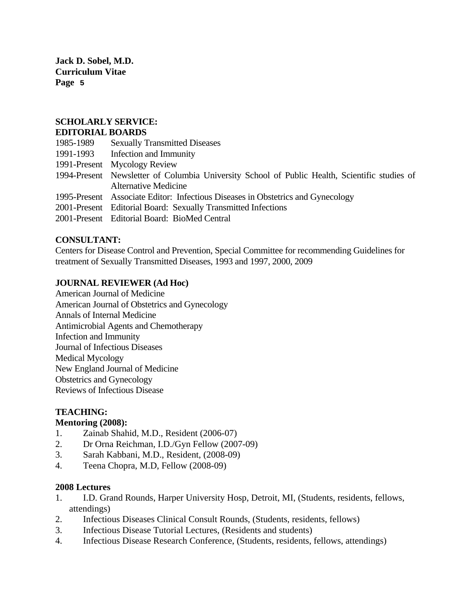## **SCHOLARLY SERVICE: EDITORIAL BOARDS**

# 1985-1989 Sexually Transmitted Diseases 1991-1993 Infection and Immunity 1991-Present Mycology Review 1994-Present Newsletter of Columbia University School of Public Health, Scientific studies of Alternative Medicine 1995-Present Associate Editor: Infectious Diseases in Obstetrics and Gynecology 2001-Present Editorial Board: Sexually Transmitted Infections

2001-Present Editorial Board: BioMed Central

## **CONSULTANT:**

Centers for Disease Control and Prevention, Special Committee for recommending Guidelines for treatment of Sexually Transmitted Diseases, 1993 and 1997, 2000, 2009

## **JOURNAL REVIEWER (Ad Hoc)**

American Journal of Medicine American Journal of Obstetrics and Gynecology Annals of Internal Medicine Antimicrobial Agents and Chemotherapy Infection and Immunity Journal of Infectious Diseases Medical Mycology New England Journal of Medicine Obstetrics and Gynecology Reviews of Infectious Disease

## **TEACHING:**

## **Mentoring (2008):**

- 1. Zainab Shahid, M.D., Resident (2006-07)
- 2. Dr Orna Reichman, I.D./Gyn Fellow (2007-09)
- 3. Sarah Kabbani, M.D., Resident, (2008-09)
- 4. Teena Chopra, M.D, Fellow (2008-09)

## **2008 Lectures**

- 1. I.D. Grand Rounds, Harper University Hosp, Detroit, MI, (Students, residents, fellows, attendings)
- 2. Infectious Diseases Clinical Consult Rounds, (Students, residents, fellows)
- 3. Infectious Disease Tutorial Lectures, (Residents and students)
- 4. Infectious Disease Research Conference, (Students, residents, fellows, attendings)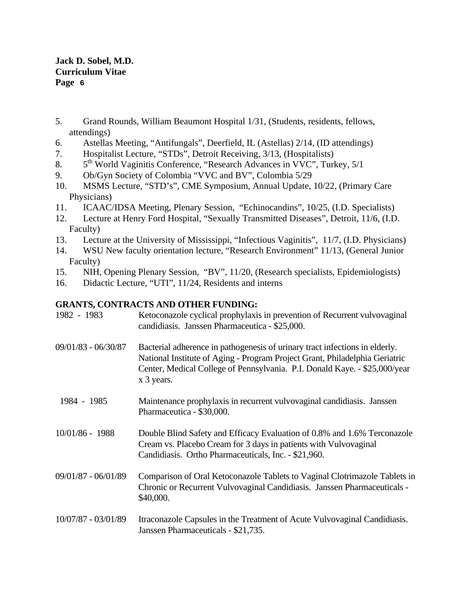- 5. Grand Rounds, William Beaumont Hospital 1/31, (Students, residents, fellows, attendings)
- 6. Astellas Meeting, "Antifungals", Deerfield, IL (Astellas) 2/14, (ID attendings)
- 7. Hospitalist Lecture, "STDs", Detroit Receiving, 3/13, (Hospitalists)
- 8.  $5<sup>th</sup>$  World Vaginitis Conference, "Research Advances in VVC", Turkey,  $5/1$
- 9. Ob/Gyn Society of Colombia "VVC and BV", Colombia 5/29
- 10. MSMS Lecture, "STD's", CME Symposium, Annual Update, 10/22, (Primary Care Physicians)
- 11. ICAAC/IDSA Meeting, Plenary Session, "Echinocandins", 10/25, (I.D. Specialists)
- 12. Lecture at Henry Ford Hospital, "Sexually Transmitted Diseases", Detroit, 11/6, (I.D. Faculty)
- 13. Lecture at the University of Mississippi, "Infectious Vaginitis", 11/7, (I.D. Physicians)
- 14. WSU New faculty orientation lecture, "Research Environment" 11/13, (General Junior Faculty)
- 15. NIH, Opening Plenary Session, "BV", 11/20, (Research specialists, Epidemiologists)
- 16. Didactic Lecture, "UTI", 11/24, Residents and interns

## **GRANTS, CONTRACTS AND OTHER FUNDING:**

| 1982 - 1983           | Ketoconazole cyclical prophylaxis in prevention of Recurrent vulvovaginal<br>candidiasis. Janssen Pharmaceutica - \$25,000.                                                                                                                            |
|-----------------------|--------------------------------------------------------------------------------------------------------------------------------------------------------------------------------------------------------------------------------------------------------|
| $09/01/83 - 06/30/87$ | Bacterial adherence in pathogenesis of urinary tract infections in elderly.<br>National Institute of Aging - Program Project Grant, Philadelphia Geriatric<br>Center, Medical College of Pennsylvania. P.I. Donald Kaye. - \$25,000/year<br>x 3 years. |
| 1984 - 1985           | Maintenance prophylaxis in recurrent vulvovaginal candidiasis. Janssen<br>Pharmaceutica - \$30,000.                                                                                                                                                    |
| $10/01/86 - 1988$     | Double Blind Safety and Efficacy Evaluation of 0.8% and 1.6% Terconazole<br>Cream vs. Placebo Cream for 3 days in patients with Vulvovaginal<br>Candidiasis. Ortho Pharmaceuticals, Inc. - \$21,960.                                                   |
| 09/01/87 - 06/01/89   | Comparison of Oral Ketoconazole Tablets to Vaginal Clotrimazole Tablets in<br>Chronic or Recurrent Vulvovaginal Candidiasis. Janssen Pharmaceuticals -<br>\$40,000.                                                                                    |
| 10/07/87 - 03/01/89   | Itraconazole Capsules in the Treatment of Acute Vulvovaginal Candidiasis.<br>Janssen Pharmaceuticals - \$21,735.                                                                                                                                       |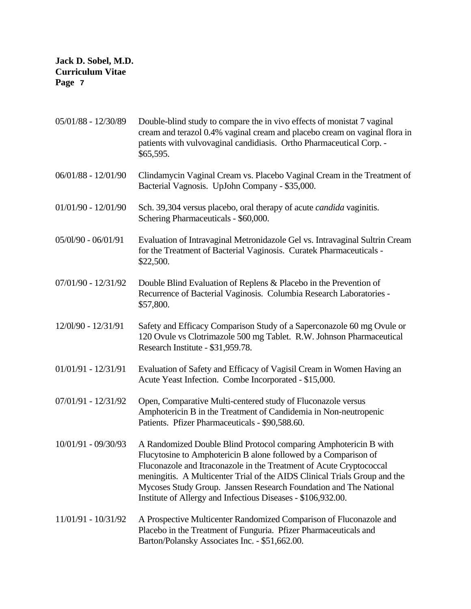| 05/01/88 - 12/30/89   | Double-blind study to compare the in vivo effects of monistat 7 vaginal<br>cream and terazol 0.4% vaginal cream and placebo cream on vaginal flora in<br>patients with vulvovaginal candidiasis. Ortho Pharmaceutical Corp. -<br>\$65,595.                                                                                                                                                                                   |
|-----------------------|------------------------------------------------------------------------------------------------------------------------------------------------------------------------------------------------------------------------------------------------------------------------------------------------------------------------------------------------------------------------------------------------------------------------------|
| 06/01/88 - 12/01/90   | Clindamycin Vaginal Cream vs. Placebo Vaginal Cream in the Treatment of<br>Bacterial Vagnosis. UpJohn Company - \$35,000.                                                                                                                                                                                                                                                                                                    |
| $01/01/90 - 12/01/90$ | Sch. 39,304 versus placebo, oral therapy of acute <i>candida</i> vaginitis.<br>Schering Pharmaceuticals - \$60,000.                                                                                                                                                                                                                                                                                                          |
| 05/01/90 - 06/01/91   | Evaluation of Intravaginal Metronidazole Gel vs. Intravaginal Sultrin Cream<br>for the Treatment of Bacterial Vaginosis. Curatek Pharmaceuticals -<br>\$22,500.                                                                                                                                                                                                                                                              |
| 07/01/90 - 12/31/92   | Double Blind Evaluation of Replens & Placebo in the Prevention of<br>Recurrence of Bacterial Vaginosis. Columbia Research Laboratories -<br>\$57,800.                                                                                                                                                                                                                                                                        |
| 12/01/90 - 12/31/91   | Safety and Efficacy Comparison Study of a Saperconazole 60 mg Ovule or<br>120 Ovule vs Clotrimazole 500 mg Tablet. R.W. Johnson Pharmaceutical<br>Research Institute - \$31,959.78.                                                                                                                                                                                                                                          |
| 01/01/91 - 12/31/91   | Evaluation of Safety and Efficacy of Vagisil Cream in Women Having an<br>Acute Yeast Infection. Combe Incorporated - \$15,000.                                                                                                                                                                                                                                                                                               |
| 07/01/91 - 12/31/92   | Open, Comparative Multi-centered study of Fluconazole versus<br>Amphotericin B in the Treatment of Candidemia in Non-neutropenic<br>Patients. Pfizer Pharmaceuticals - \$90,588.60.                                                                                                                                                                                                                                          |
| 10/01/91 - 09/30/93   | A Randomized Double Blind Protocol comparing Amphotericin B with<br>Flucytosine to Amphotericin B alone followed by a Comparison of<br>Fluconazole and Itraconazole in the Treatment of Acute Cryptococcal<br>meningitis. A Multicenter Trial of the AIDS Clinical Trials Group and the<br>Mycoses Study Group. Janssen Research Foundation and The National<br>Institute of Allergy and Infectious Diseases - \$106,932.00. |
| $11/01/91 - 10/31/92$ | A Prospective Multicenter Randomized Comparison of Fluconazole and<br>Placebo in the Treatment of Funguria. Pfizer Pharmaceuticals and<br>Barton/Polansky Associates Inc. - \$51,662.00.                                                                                                                                                                                                                                     |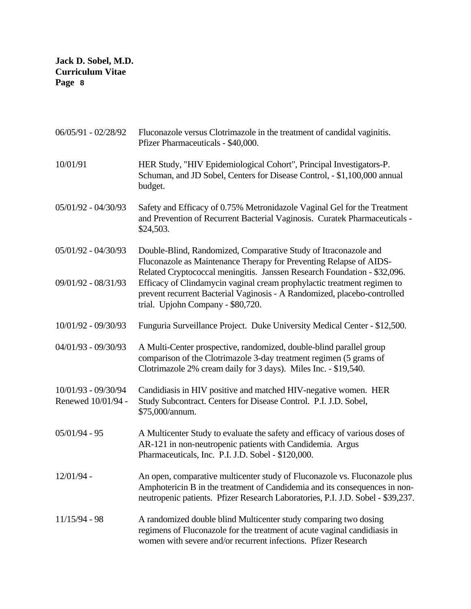| 06/05/91 - 02/28/92                          | Fluconazole versus Clotrimazole in the treatment of candidal vaginitis.<br>Pfizer Pharmaceuticals - \$40,000.                                                                                                                                                                                                                                                                                                 |
|----------------------------------------------|---------------------------------------------------------------------------------------------------------------------------------------------------------------------------------------------------------------------------------------------------------------------------------------------------------------------------------------------------------------------------------------------------------------|
| 10/01/91                                     | HER Study, "HIV Epidemiological Cohort", Principal Investigators-P.<br>Schuman, and JD Sobel, Centers for Disease Control, - \$1,100,000 annual<br>budget.                                                                                                                                                                                                                                                    |
| $05/01/92 - 04/30/93$                        | Safety and Efficacy of 0.75% Metronidazole Vaginal Gel for the Treatment<br>and Prevention of Recurrent Bacterial Vaginosis. Curatek Pharmaceuticals -<br>\$24,503.                                                                                                                                                                                                                                           |
| $05/01/92 - 04/30/93$<br>09/01/92 - 08/31/93 | Double-Blind, Randomized, Comparative Study of Itraconazole and<br>Fluconazole as Maintenance Therapy for Preventing Relapse of AIDS-<br>Related Cryptococcal meningitis. Janssen Research Foundation - \$32,096.<br>Efficacy of Clindamycin vaginal cream prophylactic treatment regimen to<br>prevent recurrent Bacterial Vaginosis - A Randomized, placebo-controlled<br>trial. Upjohn Company - \$80,720. |
| 10/01/92 - 09/30/93                          | Funguria Surveillance Project. Duke University Medical Center - \$12,500.                                                                                                                                                                                                                                                                                                                                     |
| 04/01/93 - 09/30/93                          | A Multi-Center prospective, randomized, double-blind parallel group<br>comparison of the Clotrimazole 3-day treatment regimen (5 grams of<br>Clotrimazole 2% cream daily for 3 days). Miles Inc. - \$19,540.                                                                                                                                                                                                  |
| 10/01/93 - 09/30/94<br>Renewed 10/01/94 -    | Candidiasis in HIV positive and matched HIV-negative women. HER<br>Study Subcontract. Centers for Disease Control. P.I. J.D. Sobel,<br>\$75,000/annum.                                                                                                                                                                                                                                                        |
| $05/01/94 - 95$                              | A Multicenter Study to evaluate the safety and efficacy of various doses of<br>AR-121 in non-neutropenic patients with Candidemia. Argus<br>Pharmaceuticals, Inc. P.I. J.D. Sobel - \$120,000.                                                                                                                                                                                                                |
| 12/01/94 -                                   | An open, comparative multicenter study of Fluconazole vs. Fluconazole plus<br>Amphotericin B in the treatment of Candidemia and its consequences in non-<br>neutropenic patients. Pfizer Research Laboratories, P.I. J.D. Sobel - \$39,237.                                                                                                                                                                   |
| $11/15/94 - 98$                              | A randomized double blind Multicenter study comparing two dosing<br>regimens of Fluconazole for the treatment of acute vaginal candidiasis in<br>women with severe and/or recurrent infections. Pfizer Research                                                                                                                                                                                               |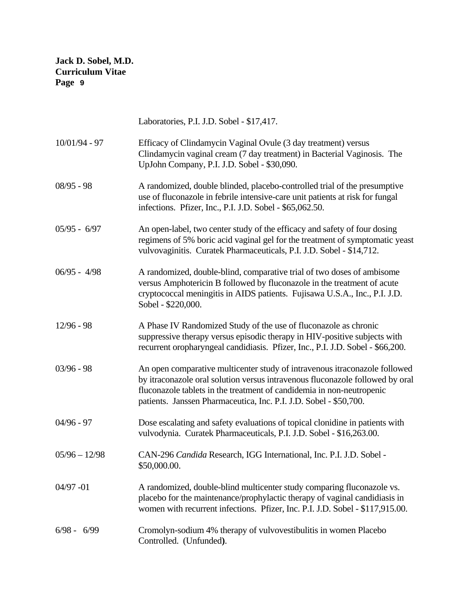|                 | Laboratories, P.I. J.D. Sobel - \$17,417.                                                                                                                                                                                                                                                                 |
|-----------------|-----------------------------------------------------------------------------------------------------------------------------------------------------------------------------------------------------------------------------------------------------------------------------------------------------------|
| $10/01/94 - 97$ | Efficacy of Clindamycin Vaginal Ovule (3 day treatment) versus<br>Clindamycin vaginal cream (7 day treatment) in Bacterial Vaginosis. The<br>UpJohn Company, P.I. J.D. Sobel - \$30,090.                                                                                                                  |
| $08/95 - 98$    | A randomized, double blinded, placebo-controlled trial of the presumptive<br>use of fluconazole in febrile intensive-care unit patients at risk for fungal<br>infections. Pfizer, Inc., P.I. J.D. Sobel - \$65,062.50.                                                                                    |
| $05/95 - 6/97$  | An open-label, two center study of the efficacy and safety of four dosing<br>regimens of 5% boric acid vaginal gel for the treatment of symptomatic yeast<br>vulvovaginitis. Curatek Pharmaceuticals, P.I. J.D. Sobel - \$14,712.                                                                         |
| $06/95 - 4/98$  | A randomized, double-blind, comparative trial of two doses of ambisome<br>versus Amphotericin B followed by fluconazole in the treatment of acute<br>cryptococcal meningitis in AIDS patients. Fujisawa U.S.A., Inc., P.I. J.D.<br>Sobel - \$220,000.                                                     |
| $12/96 - 98$    | A Phase IV Randomized Study of the use of fluconazole as chronic<br>suppressive therapy versus episodic therapy in HIV-positive subjects with<br>recurrent oropharyngeal candidiasis. Pfizer, Inc., P.I. J.D. Sobel - \$66,200.                                                                           |
| $03/96 - 98$    | An open comparative multicenter study of intravenous itraconazole followed<br>by itraconazole oral solution versus intravenous fluconazole followed by oral<br>fluconazole tablets in the treatment of candidemia in non-neutropenic<br>patients. Janssen Pharmaceutica, Inc. P.I. J.D. Sobel - \$50,700. |
| $04/96 - 97$    | Dose escalating and safety evaluations of topical clonidine in patients with<br>vulvodynia. Curatek Pharmaceuticals, P.I. J.D. Sobel - \$16,263.00.                                                                                                                                                       |
| $05/96 - 12/98$ | CAN-296 Candida Research, IGG International, Inc. P.I. J.D. Sobel -<br>\$50,000.00.                                                                                                                                                                                                                       |
| $04/97 - 01$    | A randomized, double-blind multicenter study comparing fluconazole vs.<br>placebo for the maintenance/prophylactic therapy of vaginal candidiasis in<br>women with recurrent infections. Pfizer, Inc. P.I. J.D. Sobel - \$117,915.00.                                                                     |
| $6/98 - 6/99$   | Cromolyn-sodium 4% therapy of vulvovestibulitis in women Placebo<br>Controlled. (Unfunded).                                                                                                                                                                                                               |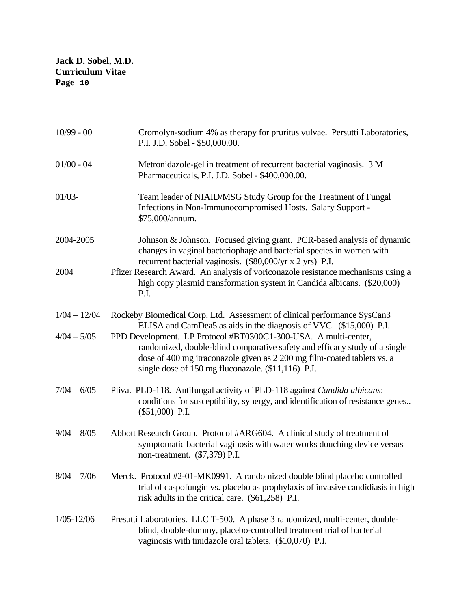| $10/99 - 00$   | Cromolyn-sodium 4% as therapy for pruritus vulvae. Persutti Laboratories,<br>P.I. J.D. Sobel - \$50,000.00.                                                                                                                                                                    |
|----------------|--------------------------------------------------------------------------------------------------------------------------------------------------------------------------------------------------------------------------------------------------------------------------------|
| $01/00 - 04$   | Metronidazole-gel in treatment of recurrent bacterial vaginosis. 3 M<br>Pharmaceuticals, P.I. J.D. Sobel - \$400,000.00.                                                                                                                                                       |
| $01/03 -$      | Team leader of NIAID/MSG Study Group for the Treatment of Fungal<br>Infections in Non-Immunocompromised Hosts. Salary Support -<br>\$75,000/annum.                                                                                                                             |
| 2004-2005      | Johnson & Johnson. Focused giving grant. PCR-based analysis of dynamic<br>changes in vaginal bacteriophage and bacterial species in women with<br>recurrent bacterial vaginosis. (\$80,000/yr x 2 yrs) P.I.                                                                    |
| 2004           | Pfizer Research Award. An analysis of voriconazole resistance mechanisms using a<br>high copy plasmid transformation system in Candida albicans. (\$20,000)<br>P.I.                                                                                                            |
| $1/04 - 12/04$ | Rockeby Biomedical Corp. Ltd. Assessment of clinical performance SysCan3<br>ELISA and CamDea5 as aids in the diagnosis of VVC. (\$15,000) P.I.                                                                                                                                 |
| $4/04 - 5/05$  | PPD Development. LP Protocol #BT0300C1-300-USA. A multi-center,<br>randomized, double-blind comparative safety and efficacy study of a single<br>dose of 400 mg itraconazole given as 2 200 mg film-coated tablets vs. a<br>single dose of 150 mg fluconazole. (\$11,116) P.I. |
| $7/04 - 6/05$  | Pliva. PLD-118. Antifungal activity of PLD-118 against Candida albicans:<br>conditions for susceptibility, synergy, and identification of resistance genes<br>$(\$51,000)$ P.I.                                                                                                |
| $9/04 - 8/05$  | Abbott Research Group. Protocol #ARG604. A clinical study of treatment of<br>symptomatic bacterial vaginosis with water works douching device versus<br>non-treatment. (\$7,379) P.I.                                                                                          |
| $8/04 - 7/06$  | Merck. Protocol #2-01-MK0991. A randomized double blind placebo controlled<br>trial of caspofungin vs. placebo as prophylaxis of invasive candidiasis in high<br>risk adults in the critical care. (\$61,258) P.I.                                                             |
| $1/05 - 12/06$ | Presutti Laboratories. LLC T-500. A phase 3 randomized, multi-center, double-<br>blind, double-dummy, placebo-controlled treatment trial of bacterial<br>vaginosis with tinidazole oral tablets. (\$10,070) P.I.                                                               |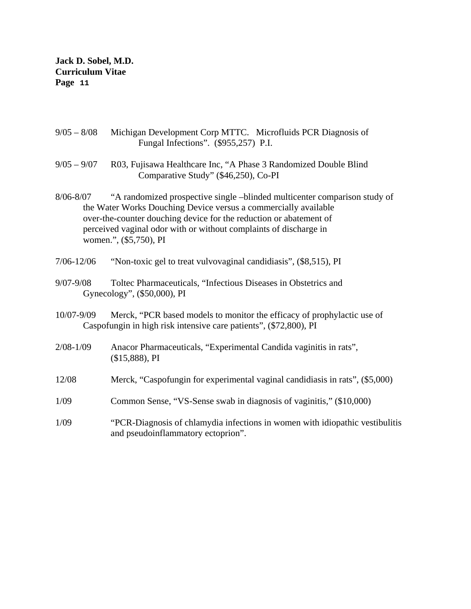- 9/05 8/08 Michigan Development Corp MTTC. Microfluids PCR Diagnosis of Fungal Infections". (\$955,257) P.I.
- 9/05 9/07 R03, Fujisawa Healthcare Inc, "A Phase 3 Randomized Double Blind Comparative Study" (\$46,250), Co-PI
- 8/06-8/07 "A randomized prospective single –blinded multicenter comparison study of the Water Works Douching Device versus a commercially available over-the-counter douching device for the reduction or abatement of perceived vaginal odor with or without complaints of discharge in women.", (\$5,750), PI
- 7/06-12/06 "Non-toxic gel to treat vulvovaginal candidiasis", (\$8,515), PI
- 9/07-9/08 Toltec Pharmaceuticals, "Infectious Diseases in Obstetrics and Gynecology", (\$50,000), PI
- 10/07-9/09 Merck, "PCR based models to monitor the efficacy of prophylactic use of Caspofungin in high risk intensive care patients", (\$72,800), PI
- 2/08-1/09 Anacor Pharmaceuticals, "Experimental Candida vaginitis in rats", (\$15,888), PI
- 12/08 Merck, "Caspofungin for experimental vaginal candidiasis in rats", (\$5,000)
- 1/09 Common Sense, "VS-Sense swab in diagnosis of vaginitis," (\$10,000)
- 1/09 "PCR-Diagnosis of chlamydia infections in women with idiopathic vestibulitis and pseudoinflammatory ectoprion".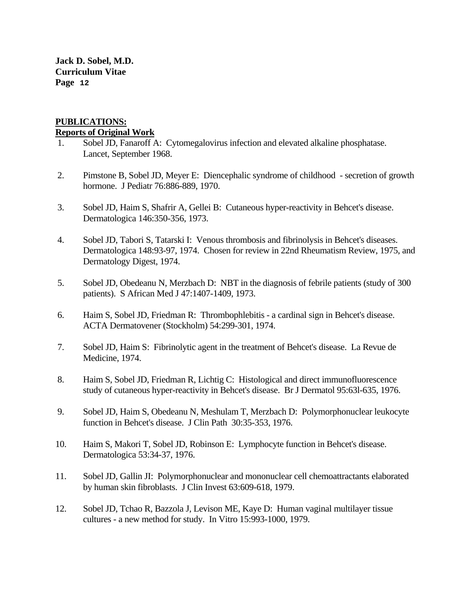## **PUBLICATIONS: Reports of Original Work**

- 1. Sobel JD, Fanaroff A: Cytomegalovirus infection and elevated alkaline phosphatase. Lancet, September 1968.
- 2. Pimstone B, Sobel JD, Meyer E: Diencephalic syndrome of childhood secretion of growth hormone. J Pediatr 76:886-889, 1970.
- 3. Sobel JD, Haim S, Shafrir A, Gellei B: Cutaneous hyper-reactivity in Behcet's disease. Dermatologica 146:350-356, 1973.
- 4. Sobel JD, Tabori S, Tatarski I: Venous thrombosis and fibrinolysis in Behcet's diseases. Dermatologica 148:93-97, 1974. Chosen for review in 22nd Rheumatism Review, 1975, and Dermatology Digest, 1974.
- 5. Sobel JD, Obedeanu N, Merzbach D: NBT in the diagnosis of febrile patients (study of 300 patients). S African Med J 47:1407-1409, 1973.
- 6. Haim S, Sobel JD, Friedman R: Thrombophlebitis a cardinal sign in Behcet's disease. ACTA Dermatovener (Stockholm) 54:299-301, 1974.
- 7. Sobel JD, Haim S: Fibrinolytic agent in the treatment of Behcet's disease. La Revue de Medicine, 1974.
- 8. Haim S, Sobel JD, Friedman R, Lichtig C: Histological and direct immunofluorescence study of cutaneous hyper-reactivity in Behcet's disease. Br J Dermatol 95:63l-635, 1976.
- 9. Sobel JD, Haim S, Obedeanu N, Meshulam T, Merzbach D: Polymorphonuclear leukocyte function in Behcet's disease. J Clin Path 30:35-353, 1976.
- 10. Haim S, Makori T, Sobel JD, Robinson E: Lymphocyte function in Behcet's disease. Dermatologica 53:34-37, 1976.
- 11. Sobel JD, Gallin JI: Polymorphonuclear and mononuclear cell chemoattractants elaborated by human skin fibroblasts. J Clin Invest 63:609-618, 1979.
- 12. Sobel JD, Tchao R, Bazzola J, Levison ME, Kaye D: Human vaginal multilayer tissue cultures - a new method for study. In Vitro 15:993-1000, 1979.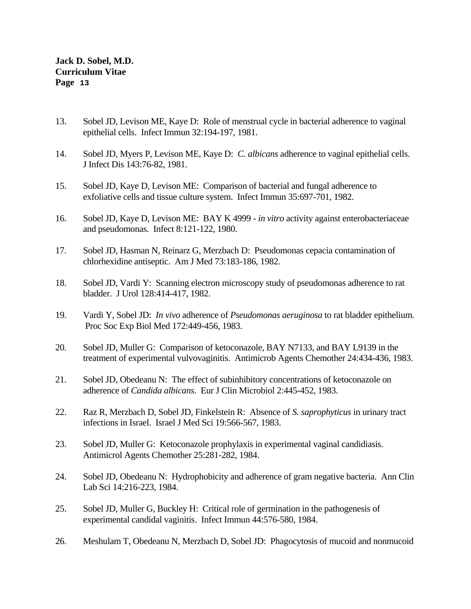- 13. Sobel JD, Levison ME, Kaye D: Role of menstrual cycle in bacterial adherence to vaginal epithelial cells. Infect Immun 32:194-197, 1981.
- 14. Sobel JD, Myers P, Levison ME, Kaye D: *C. albicans* adherence to vaginal epithelial cells. J Infect Dis 143:76-82, 1981.
- 15. Sobel JD, Kaye D, Levison ME: Comparison of bacterial and fungal adherence to exfoliative cells and tissue culture system. Infect Immun 35:697-701, 1982.
- 16. Sobel JD, Kaye D, Levison ME: BAY K 4999 *in vitro* activity against enterobacteriaceae and pseudomonas. Infect 8:121-122, 1980.
- 17. Sobel JD, Hasman N, Reinarz G, Merzbach D: Pseudomonas cepacia contamination of chlorhexidine antiseptic. Am J Med 73:183-186, 1982.
- 18. Sobel JD, Vardi Y: Scanning electron microscopy study of pseudomonas adherence to rat bladder. J Urol 128:414-417, 1982.
- 19. Vardi Y, Sobel JD: *In vivo* adherence of *Pseudomonas aeruginosa* to rat bladder epithelium. Proc Soc Exp Biol Med 172:449-456, 1983.
- 20. Sobel JD, Muller G: Comparison of ketoconazole, BAY N7133, and BAY L9139 in the treatment of experimental vulvovaginitis. Antimicrob Agents Chemother 24:434-436, 1983.
- 21. Sobel JD, Obedeanu N: The effect of subinhibitory concentrations of ketoconazole on adherence of *Candida albicans*. Eur J Clin Microbiol 2:445-452, 1983.
- 22. Raz R, Merzbach D, Sobel JD, Finkelstein R: Absence of *S. saprophyticus* in urinary tract infections in Israel. Israel J Med Sci 19:566-567, 1983.
- 23. Sobel JD, Muller G: Ketoconazole prophylaxis in experimental vaginal candidiasis. Antimicrol Agents Chemother 25:281-282, 1984.
- 24. Sobel JD, Obedeanu N: Hydrophobicity and adherence of gram negative bacteria. Ann Clin Lab Sci 14:216-223, 1984.
- 25. Sobel JD, Muller G, Buckley H: Critical role of germination in the pathogenesis of experimental candidal vaginitis. Infect Immun 44:576-580, 1984.
- 26. Meshulam T, Obedeanu N, Merzbach D, Sobel JD: Phagocytosis of mucoid and nonmucoid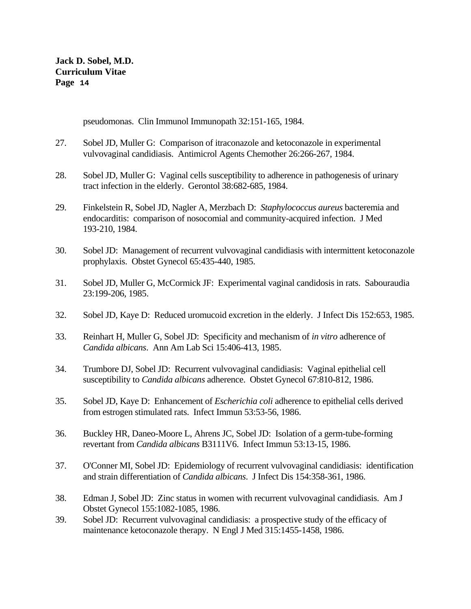pseudomonas. Clin Immunol Immunopath 32:151-165, 1984.

- 27. Sobel JD, Muller G: Comparison of itraconazole and ketoconazole in experimental vulvovaginal candidiasis. Antimicrol Agents Chemother 26:266-267, 1984.
- 28. Sobel JD, Muller G: Vaginal cells susceptibility to adherence in pathogenesis of urinary tract infection in the elderly. Gerontol 38:682-685, 1984.
- 29. Finkelstein R, Sobel JD, Nagler A, Merzbach D: *Staphylococcus aureus* bacteremia and endocarditis: comparison of nosocomial and community-acquired infection. J Med 193-210, 1984.
- 30. Sobel JD: Management of recurrent vulvovaginal candidiasis with intermittent ketoconazole prophylaxis. Obstet Gynecol 65:435-440, 1985.
- 31. Sobel JD, Muller G, McCormick JF: Experimental vaginal candidosis in rats. Sabouraudia 23:199-206, 1985.
- 32. Sobel JD, Kaye D: Reduced uromucoid excretion in the elderly. J Infect Dis 152:653, 1985.
- 33. Reinhart H, Muller G, Sobel JD: Specificity and mechanism of *in vitro* adherence of *Candida albicans*. Ann Am Lab Sci 15:406-413, 1985.
- 34. Trumbore DJ, Sobel JD: Recurrent vulvovaginal candidiasis: Vaginal epithelial cell susceptibility to *Candida albicans* adherence. Obstet Gynecol 67:810-812, 1986.
- 35. Sobel JD, Kaye D: Enhancement of *Escherichia coli* adherence to epithelial cells derived from estrogen stimulated rats. Infect Immun 53:53-56, 1986.
- 36. Buckley HR, Daneo-Moore L, Ahrens JC, Sobel JD: Isolation of a germ-tube-forming revertant from *Candida albicans* B3111V6. Infect Immun 53:13-15, 1986.
- 37. O'Conner MI, Sobel JD: Epidemiology of recurrent vulvovaginal candidiasis: identification and strain differentiation of *Candida albicans*. J Infect Dis 154:358-361, 1986.
- 38. Edman J, Sobel JD: Zinc status in women with recurrent vulvovaginal candidiasis. Am J Obstet Gynecol 155:1082-1085, 1986.
- 39. Sobel JD: Recurrent vulvovaginal candidiasis: a prospective study of the efficacy of maintenance ketoconazole therapy. N Engl J Med 315:1455-1458, 1986.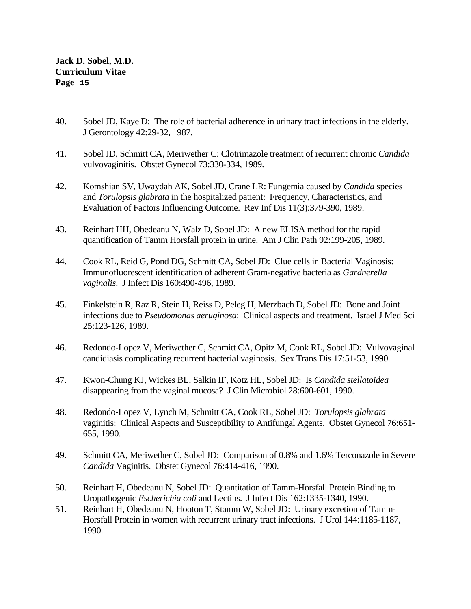- 40. Sobel JD, Kaye D: The role of bacterial adherence in urinary tract infections in the elderly. J Gerontology 42:29-32, 1987.
- 41. Sobel JD, Schmitt CA, Meriwether C: Clotrimazole treatment of recurrent chronic *Candida* vulvovaginitis. Obstet Gynecol 73:330-334, 1989.
- 42. Komshian SV, Uwaydah AK, Sobel JD, Crane LR: Fungemia caused by *Candida* species and *Torulopsis glabrata* in the hospitalized patient: Frequency, Characteristics, and Evaluation of Factors Influencing Outcome. Rev Inf Dis 11(3):379-390, 1989.
- 43. Reinhart HH, Obedeanu N, Walz D, Sobel JD: A new ELISA method for the rapid quantification of Tamm Horsfall protein in urine. Am J Clin Path 92:199-205, 1989.
- 44. Cook RL, Reid G, Pond DG, Schmitt CA, Sobel JD: Clue cells in Bacterial Vaginosis: Immunofluorescent identification of adherent Gram-negative bacteria as *Gardnerella vaginalis*. J Infect Dis 160:490-496, 1989.
- 45. Finkelstein R, Raz R, Stein H, Reiss D, Peleg H, Merzbach D, Sobel JD: Bone and Joint infections due to *Pseudomonas aeruginosa*: Clinical aspects and treatment. Israel J Med Sci 25:123-126, 1989.
- 46. Redondo-Lopez V, Meriwether C, Schmitt CA, Opitz M, Cook RL, Sobel JD: Vulvovaginal candidiasis complicating recurrent bacterial vaginosis. Sex Trans Dis 17:51-53, 1990.
- 47. Kwon-Chung KJ, Wickes BL, Salkin IF, Kotz HL, Sobel JD: Is *Candida stellatoidea* disappearing from the vaginal mucosa? J Clin Microbiol 28:600-601, 1990.
- 48. Redondo-Lopez V, Lynch M, Schmitt CA, Cook RL, Sobel JD: *Torulopsis glabrata* vaginitis: Clinical Aspects and Susceptibility to Antifungal Agents. Obstet Gynecol 76:651- 655, 1990.
- 49. Schmitt CA, Meriwether C, Sobel JD: Comparison of 0.8% and 1.6% Terconazole in Severe *Candida* Vaginitis. Obstet Gynecol 76:414-416, 1990.
- 50. Reinhart H, Obedeanu N, Sobel JD: Quantitation of Tamm-Horsfall Protein Binding to Uropathogenic *Escherichia coli* and Lectins. J Infect Dis 162:1335-1340, 1990.
- 51. Reinhart H, Obedeanu N, Hooton T, Stamm W, Sobel JD: Urinary excretion of Tamm-Horsfall Protein in women with recurrent urinary tract infections. J Urol 144:1185-1187, 1990.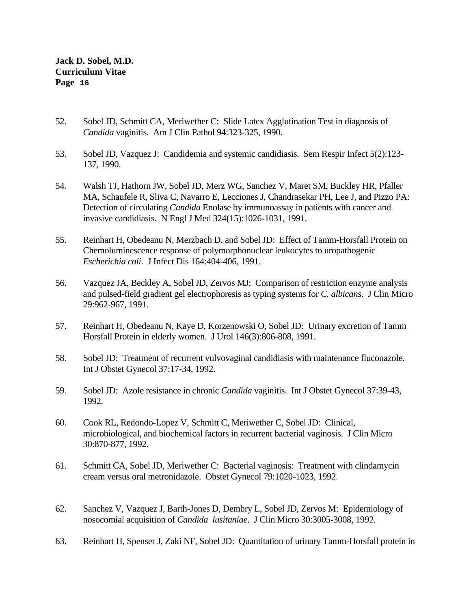- 52. Sobel JD, Schmitt CA, Meriwether C: Slide Latex Agglutination Test in diagnosis of *Candida* vaginitis. Am J Clin Pathol 94:323-325, 1990.
- 53. Sobel JD, Vazquez J: Candidemia and systemic candidiasis. Sem Respir Infect 5(2):123- 137, 1990.
- 54. Walsh TJ, Hathorn JW, Sobel JD, Merz WG, Sanchez V, Maret SM, Buckley HR, Pfaller MA, Schaufele R, Sliva C, Navarro E, Lecciones J, Chandrasekar PH, Lee J, and Pizzo PA: Detection of circulating *Candida* Enolase by immunoassay in patients with cancer and invasive candidiasis. N Engl J Med 324(15):1026-1031, 1991.
- 55. Reinhart H, Obedeanu N, Merzbach D, and Sobel JD: Effect of Tamm-Horsfall Protein on Chemoluminescence response of polymorphonuclear leukocytes to uropathogenic *Escherichia coli*. J Infect Dis 164:404-406, 1991.
- 56. Vazquez JA, Beckley A, Sobel JD, Zervos MJ: Comparison of restriction enzyme analysis and pulsed-field gradient gel electrophoresis as typing systems for *C. albicans*. J Clin Micro 29:962-967, 1991.
- 57. Reinhart H, Obedeanu N, Kaye D, Korzenowski O, Sobel JD: Urinary excretion of Tamm Horsfall Protein in elderly women. J Urol 146(3):806-808, 1991.
- 58. Sobel JD: Treatment of recurrent vulvovaginal candidiasis with maintenance fluconazole. Int J Obstet Gynecol 37:17-34, 1992.
- 59. Sobel JD: Azole resistance in chronic *Candida* vaginitis. Int J Obstet Gynecol 37:39-43, 1992.
- 60. Cook RL, Redondo-Lopez V, Schmitt C, Meriwether C, Sobel JD: Clinical, microbiological, and biochemical factors in recurrent bacterial vaginosis. J Clin Micro 30:870-877, 1992.
- 61. Schmitt CA, Sobel JD, Meriwether C: Bacterial vaginosis: Treatment with clindamycin cream versus oral metronidazole. Obstet Gynecol 79:1020-1023, 1992.
- 62. Sanchez V, Vazquez J, Barth-Jones D, Dembry L, Sobel JD, Zervos M: Epidemiology of nosocomial acquisition of *Candida lusitaniae*. J Clin Micro 30:3005-3008, 1992.
- 63. Reinhart H, Spenser J, Zaki NF, Sobel JD: Quantitation of urinary Tamm-Horsfall protein in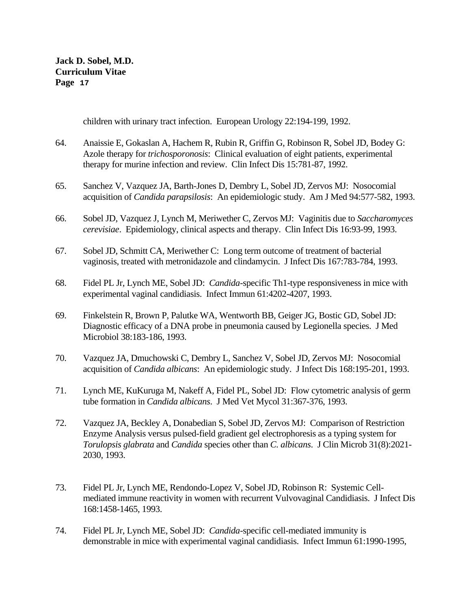children with urinary tract infection. European Urology 22:194-199, 1992.

- 64. Anaissie E, Gokaslan A, Hachem R, Rubin R, Griffin G, Robinson R, Sobel JD, Bodey G: Azole therapy for *trichosporonosis*: Clinical evaluation of eight patients, experimental therapy for murine infection and review. Clin Infect Dis 15:781-87, 1992.
- 65. Sanchez V, Vazquez JA, Barth-Jones D, Dembry L, Sobel JD, Zervos MJ: Nosocomial acquisition of *Candida parapsilosis*: An epidemiologic study. Am J Med 94:577-582, 1993.
- 66. Sobel JD, Vazquez J, Lynch M, Meriwether C, Zervos MJ: Vaginitis due to *Saccharomyces cerevisiae*. Epidemiology, clinical aspects and therapy. Clin Infect Dis 16:93-99, 1993.
- 67. Sobel JD, Schmitt CA, Meriwether C: Long term outcome of treatment of bacterial vaginosis, treated with metronidazole and clindamycin. J Infect Dis 167:783-784, 1993.
- 68. Fidel PL Jr, Lynch ME, Sobel JD: *Candida*-specific Th1-type responsiveness in mice with experimental vaginal candidiasis. Infect Immun 61:4202-4207, 1993.
- 69. Finkelstein R, Brown P, Palutke WA, Wentworth BB, Geiger JG, Bostic GD, Sobel JD: Diagnostic efficacy of a DNA probe in pneumonia caused by Legionella species. J Med Microbiol 38:183-186, 1993.
- 70. Vazquez JA, Dmuchowski C, Dembry L, Sanchez V, Sobel JD, Zervos MJ: Nosocomial acquisition of *Candida albicans*: An epidemiologic study. J Infect Dis 168:195-201, 1993.
- 71. Lynch ME, KuKuruga M, Nakeff A, Fidel PL, Sobel JD: Flow cytometric analysis of germ tube formation in *Candida albicans*. J Med Vet Mycol 31:367-376, 1993.
- 72. Vazquez JA, Beckley A, Donabedian S, Sobel JD, Zervos MJ: Comparison of Restriction Enzyme Analysis versus pulsed-field gradient gel electrophoresis as a typing system for *Torulopsis glabrata* and *Candida* species other than *C. albicans*. J Clin Microb 31(8):2021- 2030, 1993.
- 73. Fidel PL Jr, Lynch ME, Rendondo-Lopez V, Sobel JD, Robinson R: Systemic Cellmediated immune reactivity in women with recurrent Vulvovaginal Candidiasis. J Infect Dis 168:1458-1465, 1993.
- 74. Fidel PL Jr, Lynch ME, Sobel JD: *Candida*-specific cell-mediated immunity is demonstrable in mice with experimental vaginal candidiasis. Infect Immun 61:1990-1995,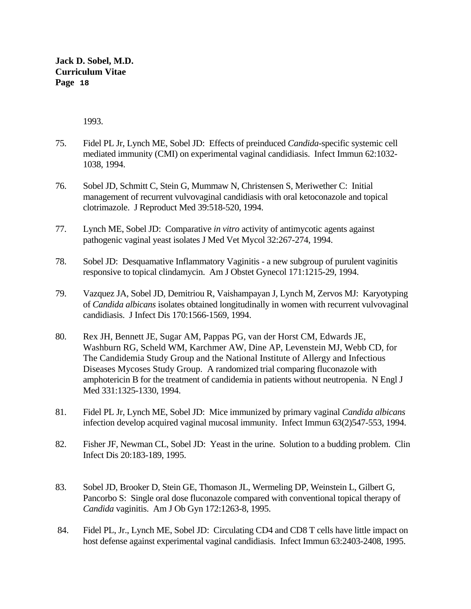1993.

- 75. Fidel PL Jr, Lynch ME, Sobel JD: Effects of preinduced *Candida*-specific systemic cell mediated immunity (CMI) on experimental vaginal candidiasis. Infect Immun 62:1032- 1038, 1994.
- 76. Sobel JD, Schmitt C, Stein G, Mummaw N, Christensen S, Meriwether C: Initial management of recurrent vulvovaginal candidiasis with oral ketoconazole and topical clotrimazole. J Reproduct Med 39:518-520, 1994.
- 77. Lynch ME, Sobel JD: Comparative *in vitro* activity of antimycotic agents against pathogenic vaginal yeast isolates J Med Vet Mycol 32:267-274, 1994.
- 78. Sobel JD: Desquamative Inflammatory Vaginitis a new subgroup of purulent vaginitis responsive to topical clindamycin. Am J Obstet Gynecol 171:1215-29, 1994.
- 79. Vazquez JA, Sobel JD, Demitriou R, Vaishampayan J, Lynch M, Zervos MJ: Karyotyping of *Candida albicans* isolates obtained longitudinally in women with recurrent vulvovaginal candidiasis. J Infect Dis 170:1566-1569, 1994.
- 80. Rex JH, Bennett JE, Sugar AM, Pappas PG, van der Horst CM, Edwards JE, Washburn RG, Scheld WM, Karchmer AW, Dine AP, Levenstein MJ, Webb CD, for The Candidemia Study Group and the National Institute of Allergy and Infectious Diseases Mycoses Study Group. A randomized trial comparing fluconazole with amphotericin B for the treatment of candidemia in patients without neutropenia. N Engl J Med 331:1325-1330, 1994.
- 81. Fidel PL Jr, Lynch ME, Sobel JD: Mice immunized by primary vaginal *Candida albicans* infection develop acquired vaginal mucosal immunity. Infect Immun 63(2)547-553, 1994.
- 82. Fisher JF, Newman CL, Sobel JD: Yeast in the urine. Solution to a budding problem. Clin Infect Dis 20:183-189, 1995.
- 83. Sobel JD, Brooker D, Stein GE, Thomason JL, Wermeling DP, Weinstein L, Gilbert G, Pancorbo S: Single oral dose fluconazole compared with conventional topical therapy of *Candida* vaginitis. Am J Ob Gyn 172:1263-8, 1995.
- 84. Fidel PL, Jr., Lynch ME, Sobel JD: Circulating CD4 and CD8 T cells have little impact on host defense against experimental vaginal candidiasis. Infect Immun 63:2403-2408, 1995.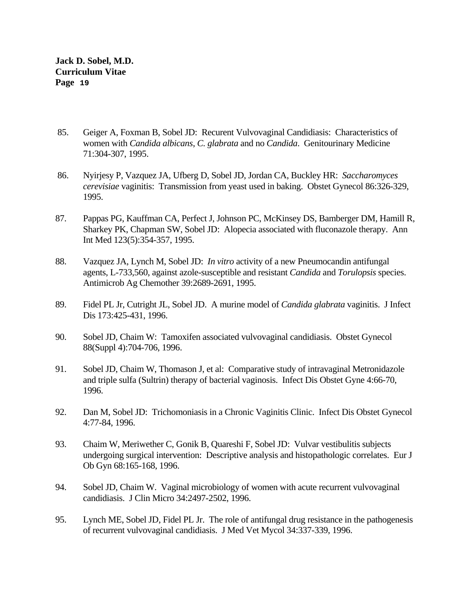- 85. Geiger A, Foxman B, Sobel JD: Recurent Vulvovaginal Candidiasis: Characteristics of women with *Candida albicans*, *C. glabrata* and no *Candida*. Genitourinary Medicine 71:304-307, 1995.
- 86. Nyirjesy P, Vazquez JA, Ufberg D, Sobel JD, Jordan CA, Buckley HR: *Saccharomyces cerevisiae* vaginitis: Transmission from yeast used in baking. Obstet Gynecol 86:326-329, 1995.
- 87. Pappas PG, Kauffman CA, Perfect J, Johnson PC, McKinsey DS, Bamberger DM, Hamill R, Sharkey PK, Chapman SW, Sobel JD: Alopecia associated with fluconazole therapy. Ann Int Med 123(5):354-357, 1995.
- 88. Vazquez JA, Lynch M, Sobel JD: *In vitro* activity of a new Pneumocandin antifungal agents, L-733,560, against azole-susceptible and resistant *Candida* and *Torulopsis* species. Antimicrob Ag Chemother 39:2689-2691, 1995.
- 89. Fidel PL Jr, Cutright JL, Sobel JD. A murine model of *Candida glabrata* vaginitis. J Infect Dis 173:425-431, 1996.
- 90. Sobel JD, Chaim W: Tamoxifen associated vulvovaginal candidiasis. Obstet Gynecol 88(Suppl 4):704-706, 1996.
- 91. Sobel JD, Chaim W, Thomason J, et al: Comparative study of intravaginal Metronidazole and triple sulfa (Sultrin) therapy of bacterial vaginosis. Infect Dis Obstet Gyne 4:66-70, 1996.
- 92. Dan M, Sobel JD: Trichomoniasis in a Chronic Vaginitis Clinic. Infect Dis Obstet Gynecol 4:77-84, 1996.
- 93. Chaim W, Meriwether C, Gonik B, Quareshi F, Sobel JD: Vulvar vestibulitis subjects undergoing surgical intervention: Descriptive analysis and histopathologic correlates. Eur J Ob Gyn 68:165-168, 1996.
- 94. Sobel JD, Chaim W. Vaginal microbiology of women with acute recurrent vulvovaginal candidiasis. J Clin Micro 34:2497-2502, 1996.
- 95. Lynch ME, Sobel JD, Fidel PL Jr. The role of antifungal drug resistance in the pathogenesis of recurrent vulvovaginal candidiasis. J Med Vet Mycol 34:337-339, 1996.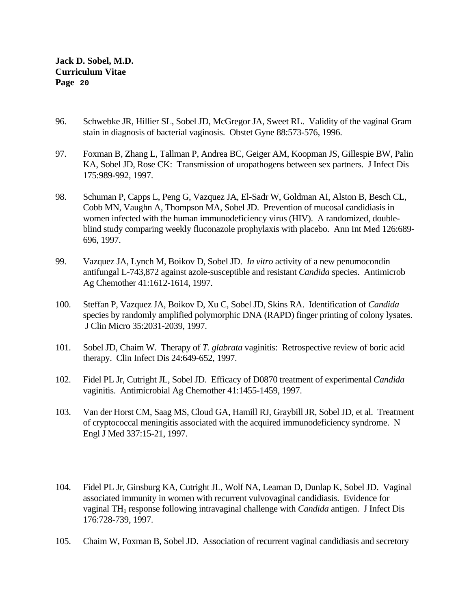- 96. Schwebke JR, Hillier SL, Sobel JD, McGregor JA, Sweet RL. Validity of the vaginal Gram stain in diagnosis of bacterial vaginosis. Obstet Gyne 88:573-576, 1996.
- 97. Foxman B, Zhang L, Tallman P, Andrea BC, Geiger AM, Koopman JS, Gillespie BW, Palin KA, Sobel JD, Rose CK: Transmission of uropathogens between sex partners. J Infect Dis 175:989-992, 1997.
- 98. Schuman P, Capps L, Peng G, Vazquez JA, El-Sadr W, Goldman AI, Alston B, Besch CL, Cobb MN, Vaughn A, Thompson MA, Sobel JD. Prevention of mucosal candidiasis in women infected with the human immunodeficiency virus (HIV). A randomized, doubleblind study comparing weekly fluconazole prophylaxis with placebo. Ann Int Med 126:689- 696, 1997.
- 99. Vazquez JA, Lynch M, Boikov D, Sobel JD. *In vitro* activity of a new penumocondin antifungal L-743,872 against azole-susceptible and resistant *Candida* species. Antimicrob Ag Chemother 41:1612-1614, 1997.
- 100. Steffan P, Vazquez JA, Boikov D, Xu C, Sobel JD, Skins RA. Identification of *Candida* species by randomly amplified polymorphic DNA (RAPD) finger printing of colony lysates. J Clin Micro 35:2031-2039, 1997.
- 101. Sobel JD, Chaim W. Therapy of *T. glabrata* vaginitis: Retrospective review of boric acid therapy. Clin Infect Dis 24:649-652, 1997.
- 102. Fidel PL Jr, Cutright JL, Sobel JD. Efficacy of D0870 treatment of experimental *Candida*  vaginitis. Antimicrobial Ag Chemother 41:1455-1459, 1997.
- 103. Van der Horst CM, Saag MS, Cloud GA, Hamill RJ, Graybill JR, Sobel JD, et al. Treatment of cryptococcal meningitis associated with the acquired immunodeficiency syndrome. N Engl J Med 337:15-21, 1997.
- 104. Fidel PL Jr, Ginsburg KA, Cutright JL, Wolf NA, Leaman D, Dunlap K, Sobel JD. Vaginal associated immunity in women with recurrent vulvovaginal candidiasis. Evidence for vaginal TH1 response following intravaginal challenge with *Candida* antigen. J Infect Dis 176:728-739, 1997.
- 105. Chaim W, Foxman B, Sobel JD. Association of recurrent vaginal candidiasis and secretory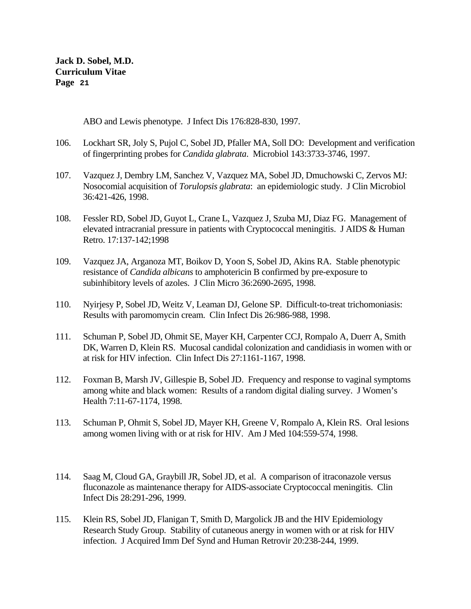ABO and Lewis phenotype. J Infect Dis 176:828-830, 1997.

- 106. Lockhart SR, Joly S, Pujol C, Sobel JD, Pfaller MA, Soll DO: Development and verification of fingerprinting probes for *Candida glabrata*. Microbiol 143:3733-3746, 1997.
- 107. Vazquez J, Dembry LM, Sanchez V, Vazquez MA, Sobel JD, Dmuchowski C, Zervos MJ: Nosocomial acquisition of *Torulopsis glabrata*: an epidemiologic study. J Clin Microbiol 36:421-426, 1998.
- 108. Fessler RD, Sobel JD, Guyot L, Crane L, Vazquez J, Szuba MJ, Diaz FG. Management of elevated intracranial pressure in patients with Cryptococcal meningitis. J AIDS & Human Retro. 17:137-142;1998
- 109. Vazquez JA, Arganoza MT, Boikov D, Yoon S, Sobel JD, Akins RA. Stable phenotypic resistance of *Candida albicans* to amphotericin B confirmed by pre-exposure to subinhibitory levels of azoles. J Clin Micro 36:2690-2695, 1998.
- 110. Nyirjesy P, Sobel JD, Weitz V, Leaman DJ, Gelone SP. Difficult-to-treat trichomoniasis: Results with paromomycin cream. Clin Infect Dis 26:986-988, 1998.
- 111. Schuman P, Sobel JD, Ohmit SE, Mayer KH, Carpenter CCJ, Rompalo A, Duerr A, Smith DK, Warren D, Klein RS. Mucosal candidal colonization and candidiasis in women with or at risk for HIV infection. Clin Infect Dis 27:1161-1167, 1998.
- 112. Foxman B, Marsh JV, Gillespie B, Sobel JD. Frequency and response to vaginal symptoms among white and black women: Results of a random digital dialing survey. J Women's Health 7:11-67-1174, 1998.
- 113. Schuman P, Ohmit S, Sobel JD, Mayer KH, Greene V, Rompalo A, Klein RS. Oral lesions among women living with or at risk for HIV. Am J Med 104:559-574, 1998.
- 114. Saag M, Cloud GA, Graybill JR, Sobel JD, et al. A comparison of itraconazole versus fluconazole as maintenance therapy for AIDS-associate Cryptococcal meningitis. Clin Infect Dis 28:291-296, 1999.
- 115. Klein RS, Sobel JD, Flanigan T, Smith D, Margolick JB and the HIV Epidemiology Research Study Group. Stability of cutaneous anergy in women with or at risk for HIV infection. J Acquired Imm Def Synd and Human Retrovir 20:238-244, 1999.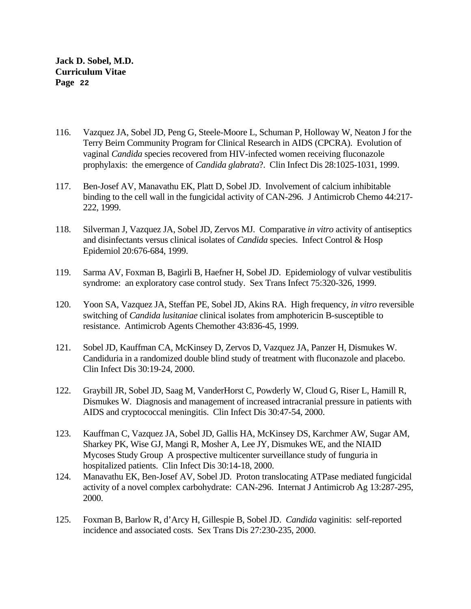- 116. Vazquez JA, Sobel JD, Peng G, Steele-Moore L, Schuman P, Holloway W, Neaton J for the Terry Beirn Community Program for Clinical Research in AIDS (CPCRA). Evolution of vaginal *Candida* species recovered from HIV-infected women receiving fluconazole prophylaxis: the emergence of *Candida glabrata*?. Clin Infect Dis 28:1025-1031, 1999.
- 117. Ben-Josef AV, Manavathu EK, Platt D, Sobel JD. Involvement of calcium inhibitable binding to the cell wall in the fungicidal activity of CAN-296. J Antimicrob Chemo 44:217- 222, 1999.
- 118. Silverman J, Vazquez JA, Sobel JD, Zervos MJ. Comparative *in vitro* activity of antiseptics and disinfectants versus clinical isolates of *Candida* species. Infect Control & Hosp Epidemiol 20:676-684, 1999.
- 119. Sarma AV, Foxman B, Bagirli B, Haefner H, Sobel JD. Epidemiology of vulvar vestibulitis syndrome: an exploratory case control study. Sex Trans Infect 75:320-326, 1999.
- 120. Yoon SA, Vazquez JA, Steffan PE, Sobel JD, Akins RA. High frequency, *in vitro* reversible switching of *Candida lusitaniae* clinical isolates from amphotericin B-susceptible to resistance. Antimicrob Agents Chemother 43:836-45, 1999.
- 121. Sobel JD, Kauffman CA, McKinsey D, Zervos D, Vazquez JA, Panzer H, Dismukes W. Candiduria in a randomized double blind study of treatment with fluconazole and placebo. Clin Infect Dis 30:19-24, 2000.
- 122. Graybill JR, Sobel JD, Saag M, VanderHorst C, Powderly W, Cloud G, Riser L, Hamill R, Dismukes W. Diagnosis and management of increased intracranial pressure in patients with AIDS and cryptococcal meningitis. Clin Infect Dis 30:47-54, 2000.
- 123. Kauffman C, Vazquez JA, Sobel JD, Gallis HA, McKinsey DS, Karchmer AW, Sugar AM, Sharkey PK, Wise GJ, Mangi R, Mosher A, Lee JY, Dismukes WE, and the NIAID Mycoses Study Group A prospective multicenter surveillance study of funguria in hospitalized patients. Clin Infect Dis 30:14-18, 2000.
- 124. Manavathu EK, Ben-Josef AV, Sobel JD. Proton translocating ATPase mediated fungicidal activity of a novel complex carbohydrate: CAN-296. Internat J Antimicrob Ag 13:287-295, 2000.
- 125. Foxman B, Barlow R, d'Arcy H, Gillespie B, Sobel JD. *Candida* vaginitis: self-reported incidence and associated costs. Sex Trans Dis 27:230-235, 2000.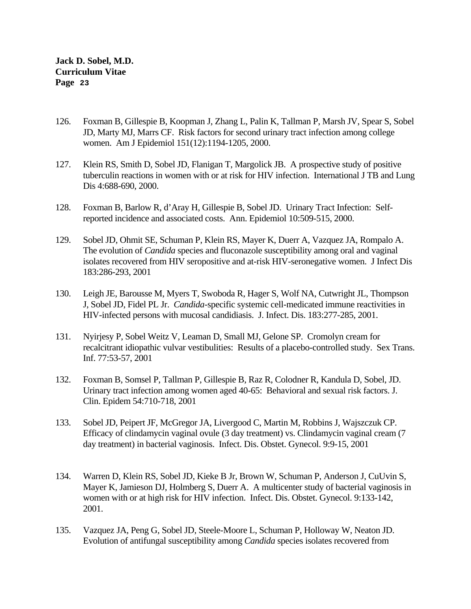- 126. Foxman B, Gillespie B, Koopman J, Zhang L, Palin K, Tallman P, Marsh JV, Spear S, Sobel JD, Marty MJ, Marrs CF. Risk factors for second urinary tract infection among college women. Am J Epidemiol 151(12):1194-1205, 2000.
- 127. Klein RS, Smith D, Sobel JD, Flanigan T, Margolick JB. A prospective study of positive tuberculin reactions in women with or at risk for HIV infection. International J TB and Lung Dis 4:688-690, 2000.
- 128. Foxman B, Barlow R, d'Aray H, Gillespie B, Sobel JD. Urinary Tract Infection: Selfreported incidence and associated costs. Ann. Epidemiol 10:509-515, 2000.
- 129. Sobel JD, Ohmit SE, Schuman P, Klein RS, Mayer K, Duerr A, Vazquez JA, Rompalo A. The evolution of *Candida* species and fluconazole susceptibility among oral and vaginal isolates recovered from HIV seropositive and at-risk HIV-seronegative women. J Infect Dis 183:286-293, 2001
- 130. Leigh JE, Barousse M, Myers T, Swoboda R, Hager S, Wolf NA, Cutwright JL, Thompson J, Sobel JD, Fidel PL Jr. *Candida*-specific systemic cell-medicated immune reactivities in HIV-infected persons with mucosal candidiasis. J. Infect. Dis. 183:277-285, 2001.
- 131. Nyirjesy P, Sobel Weitz V, Leaman D, Small MJ, Gelone SP. Cromolyn cream for recalcitrant idiopathic vulvar vestibulities: Results of a placebo-controlled study. Sex Trans. Inf. 77:53-57, 2001
- 132. Foxman B, Somsel P, Tallman P, Gillespie B, Raz R, Colodner R, Kandula D, Sobel, JD. Urinary tract infection among women aged 40-65: Behavioral and sexual risk factors. J. Clin. Epidem 54:710-718, 2001
- 133. Sobel JD, Peipert JF, McGregor JA, Livergood C, Martin M, Robbins J, Wajszczuk CP. Efficacy of clindamycin vaginal ovule (3 day treatment) vs. Clindamycin vaginal cream (7 day treatment) in bacterial vaginosis. Infect. Dis. Obstet. Gynecol. 9:9-15, 2001
- 134. Warren D, Klein RS, Sobel JD, Kieke B Jr, Brown W, Schuman P, Anderson J, CuUvin S, Mayer K, Jamieson DJ, Holmberg S, Duerr A. A multicenter study of bacterial vaginosis in women with or at high risk for HIV infection. Infect. Dis. Obstet. Gynecol. 9:133-142, 2001.
- 135. Vazquez JA, Peng G, Sobel JD, Steele-Moore L, Schuman P, Holloway W, Neaton JD. Evolution of antifungal susceptibility among *Candida* species isolates recovered from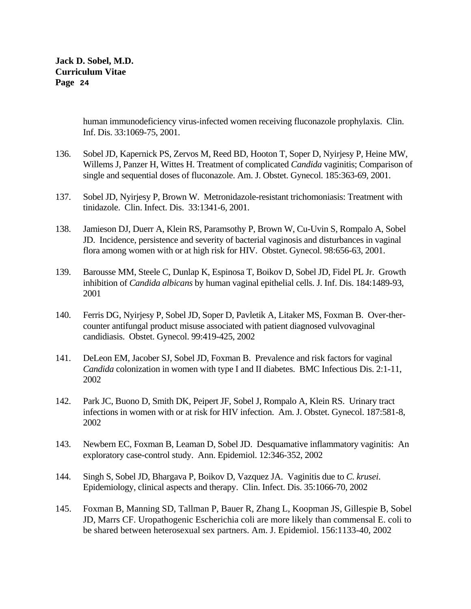> human immunodeficiency virus-infected women receiving fluconazole prophylaxis. Clin. Inf. Dis. 33:1069-75, 2001.

- 136. Sobel JD, Kapernick PS, Zervos M, Reed BD, Hooton T, Soper D, Nyirjesy P, Heine MW, Willems J, Panzer H, Wittes H. Treatment of complicated *Candida* vaginitis; Comparison of single and sequential doses of fluconazole. Am. J. Obstet. Gynecol. 185:363-69, 2001.
- 137. Sobel JD, Nyirjesy P, Brown W. Metronidazole-resistant trichomoniasis: Treatment with tinidazole. Clin. Infect. Dis. 33:1341-6, 2001.
- 138. Jamieson DJ, Duerr A, Klein RS, Paramsothy P, Brown W, Cu-Uvin S, Rompalo A, Sobel JD. Incidence, persistence and severity of bacterial vaginosis and disturbances in vaginal flora among women with or at high risk for HIV. Obstet. Gynecol. 98:656-63, 2001.
- 139. Barousse MM, Steele C, Dunlap K, Espinosa T, Boikov D, Sobel JD, Fidel PL Jr. Growth inhibition of *Candida albicans* by human vaginal epithelial cells. J. Inf. Dis. 184:1489-93, 2001
- 140. Ferris DG, Nyirjesy P, Sobel JD, Soper D, Pavletik A, Litaker MS, Foxman B. Over-thercounter antifungal product misuse associated with patient diagnosed vulvovaginal candidiasis. Obstet. Gynecol. 99:419-425, 2002
- 141. DeLeon EM, Jacober SJ, Sobel JD, Foxman B. Prevalence and risk factors for vaginal *Candida* colonization in women with type I and II diabetes. BMC Infectious Dis. 2:1-11, 2002
- 142. Park JC, Buono D, Smith DK, Peipert JF, Sobel J, Rompalo A, Klein RS. Urinary tract infections in women with or at risk for HIV infection. Am. J. Obstet. Gynecol. 187:581-8, 2002
- 143. Newbern EC, Foxman B, Leaman D, Sobel JD. Desquamative inflammatory vaginitis: An exploratory case-control study. Ann. Epidemiol. 12:346-352, 2002
- 144. Singh S, Sobel JD, Bhargava P, Boikov D, Vazquez JA. Vaginitis due to *C. krusei*. Epidemiology, clinical aspects and therapy. Clin. Infect. Dis. 35:1066-70, 2002
- 145. Foxman B, Manning SD, Tallman P, Bauer R, Zhang L, Koopman JS, Gillespie B, Sobel JD, Marrs CF. Uropathogenic Escherichia coli are more likely than commensal E. coli to be shared between heterosexual sex partners. Am. J. Epidemiol. 156:1133-40, 2002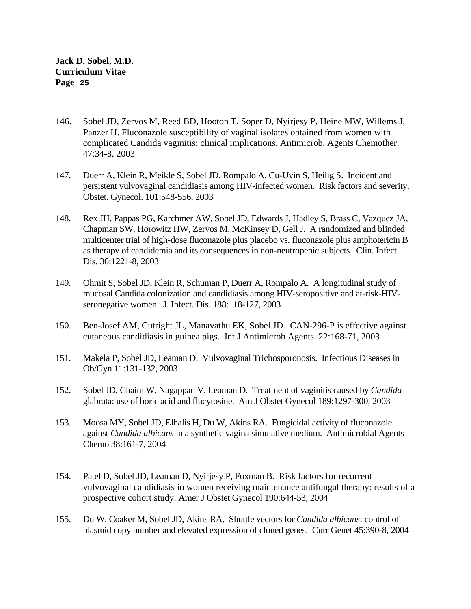- 146. Sobel JD, Zervos M, Reed BD, Hooton T, Soper D, Nyirjesy P, Heine MW, Willems J, Panzer H. Fluconazole susceptibility of vaginal isolates obtained from women with complicated Candida vaginitis: clinical implications. Antimicrob. Agents Chemother. 47:34-8, 2003
- 147. Duerr A, Klein R, Meikle S, Sobel JD, Rompalo A, Cu-Uvin S, Heilig S. Incident and persistent vulvovaginal candidiasis among HIV-infected women. Risk factors and severity. Obstet. Gynecol. 101:548-556, 2003
- 148. Rex JH, Pappas PG, Karchmer AW, Sobel JD, Edwards J, Hadley S, Brass C, Vazquez JA, Chapman SW, Horowitz HW, Zervos M, McKinsey D, Gell J. A randomized and blinded multicenter trial of high-dose fluconazole plus placebo vs. fluconazole plus amphotericin B as therapy of candidemia and its consequences in non-neutropenic subjects. Clin. Infect. Dis. 36:1221-8, 2003
- 149. Ohmit S, Sobel JD, Klein R, Schuman P, Duerr A, Rompalo A. A longitudinal study of mucosal Candida colonization and candidiasis among HIV-seropositive and at-risk-HIVseronegative women. J. Infect. Dis. 188:118-127, 2003
- 150. Ben-Josef AM, Cutright JL, Manavathu EK, Sobel JD. CAN-296-P is effective against cutaneous candidiasis in guinea pigs. Int J Antimicrob Agents. 22:168-71, 2003
- 151. Makela P, Sobel JD, Leaman D. Vulvovaginal Trichosporonosis. Infectious Diseases in Ob/Gyn 11:131-132, 2003
- 152. Sobel JD, Chaim W, Nagappan V, Leaman D. Treatment of vaginitis caused by *Candida*  glabrata: use of boric acid and flucytosine. Am J Obstet Gynecol 189:1297-300, 2003
- 153. Moosa MY, Sobel JD, Elhalis H, Du W, Akins RA. Fungicidal activity of fluconazole against *Candida albicans* in a synthetic vagina simulative medium. Antimicrobial Agents Chemo 38:161-7, 2004
- 154. Patel D, Sobel JD, Leaman D, Nyirjesy P, Foxman B. Risk factors for recurrent vulvovaginal candidiasis in women receiving maintenance antifungal therapy: results of a prospective cohort study. Amer J Obstet Gynecol 190:644-53, 2004
- 155. Du W, Coaker M, Sobel JD, Akins RA. Shuttle vectors for *Candida albicans*: control of plasmid copy number and elevated expression of cloned genes. Curr Genet 45:390-8, 2004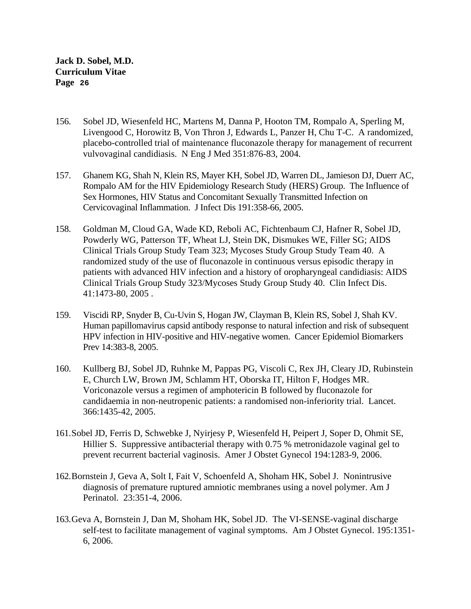- 156. Sobel JD, Wiesenfeld HC, Martens M, Danna P, Hooton TM, Rompalo A, Sperling M, Livengood C, Horowitz B, Von Thron J, Edwards L, Panzer H, Chu T-C. A randomized, placebo-controlled trial of maintenance fluconazole therapy for management of recurrent vulvovaginal candidiasis. N Eng J Med 351:876-83, 2004.
- 157. Ghanem KG, Shah N, Klein RS, Mayer KH, Sobel JD, Warren DL, Jamieson DJ, Duerr AC, Rompalo AM for the HIV Epidemiology Research Study (HERS) Group. The Influence of Sex Hormones, HIV Status and Concomitant Sexually Transmitted Infection on Cervicovaginal Inflammation. J Infect Dis 191:358-66, 2005.
- 158. Goldman M, Cloud GA, Wade KD, Reboli AC, Fichtenbaum CJ, Hafner R, Sobel JD, Powderly WG, Patterson TF, Wheat LJ, Stein DK, Dismukes WE, Filler SG; AIDS Clinical Trials Group Study Team 323; Mycoses Study Group Study Team 40. A randomized study of the use of fluconazole in continuous versus episodic therapy in patients with advanced HIV infection and a history of oropharyngeal candidiasis: AIDS Clinical Trials Group Study 323/Mycoses Study Group Study 40. Clin Infect Dis. 41:1473-80, 2005 .
- 159. Viscidi RP, Snyder B, Cu-Uvin S, Hogan JW, Clayman B, Klein RS, Sobel J, Shah KV. Human papillomavirus capsid antibody response to natural infection and risk of subsequent HPV infection in HIV-positive and HIV-negative women. Cancer Epidemiol Biomarkers Prev 14:383-8, 2005.
- 160. Kullberg BJ, Sobel JD, Ruhnke M, Pappas PG, Viscoli C, Rex JH, Cleary JD, Rubinstein E, Church LW, Brown JM, Schlamm HT, Oborska IT, Hilton F, Hodges MR. Voriconazole versus a regimen of amphotericin B followed by fluconazole for candidaemia in non-neutropenic patients: a randomised non-inferiority trial. Lancet. 366:1435-42, 2005.
- 161.Sobel JD, Ferris D, Schwebke J, Nyirjesy P, Wiesenfeld H, Peipert J, Soper D, Ohmit SE, Hillier S. Suppressive antibacterial therapy with 0.75 % metronidazole vaginal gel to prevent recurrent bacterial vaginosis. Amer J Obstet Gynecol 194:1283-9, 2006.
- 162.Bornstein J, Geva A, Solt I, Fait V, Schoenfeld A, Shoham HK, Sobel J. Nonintrusive diagnosis of premature ruptured amniotic membranes using a novel polymer. Am J Perinatol. 23:351-4, 2006.
- 163.Geva A, Bornstein J, Dan M, Shoham HK, Sobel JD. The VI-SENSE-vaginal discharge self-test to facilitate management of vaginal symptoms. Am J Obstet Gynecol. 195:1351- 6, 2006.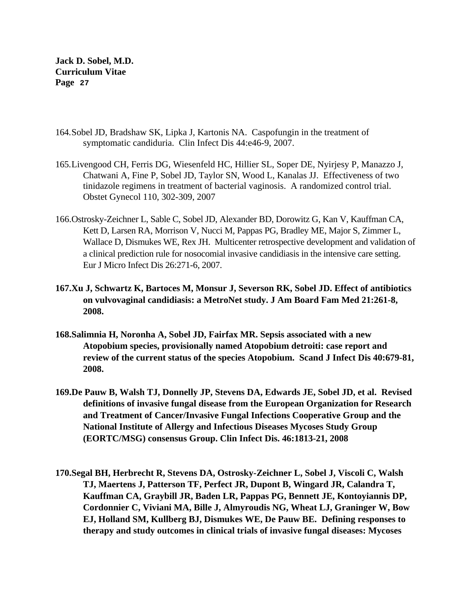- 164.Sobel JD, Bradshaw SK, Lipka J, Kartonis NA. Caspofungin in the treatment of symptomatic candiduria. Clin Infect Dis 44:e46-9, 2007.
- 165.Livengood CH, Ferris DG, Wiesenfeld HC, Hillier SL, Soper DE, Nyirjesy P, Manazzo J, Chatwani A, Fine P, Sobel JD, Taylor SN, Wood L, Kanalas JJ. Effectiveness of two tinidazole regimens in treatment of bacterial vaginosis. A randomized control trial. Obstet Gynecol 110, 302-309, 2007
- 166.Ostrosky-Zeichner L, Sable C, Sobel JD, Alexander BD, Dorowitz G, Kan V, Kauffman CA, Kett D, Larsen RA, Morrison V, Nucci M, Pappas PG, Bradley ME, Major S, Zimmer L, Wallace D, Dismukes WE, Rex JH. Multicenter retrospective development and validation of a clinical prediction rule for nosocomial invasive candidiasis in the intensive care setting. Eur J Micro Infect Dis 26:271-6, 2007.
- **167.Xu J, Schwartz K, Bartoces M, Monsur J, Severson RK, Sobel JD. Effect of antibiotics on vulvovaginal candidiasis: a MetroNet study. J Am Board Fam Med 21:261-8, 2008.**
- **168.Salimnia H, Noronha A, Sobel JD, Fairfax MR. Sepsis associated with a new Atopobium species, provisionally named Atopobium detroiti: case report and review of the current status of the species Atopobium. Scand J Infect Dis 40:679-81, 2008.**
- **169.De Pauw B, Walsh TJ, Donnelly JP, Stevens DA, Edwards JE, Sobel JD, et al. Revised definitions of invasive fungal disease from the European Organization for Research and Treatment of Cancer/Invasive Fungal Infections Cooperative Group and the National Institute of Allergy and Infectious Diseases Mycoses Study Group (EORTC/MSG) consensus Group. Clin Infect Dis. 46:1813-21, 2008**
- **170.Segal BH, Herbrecht R, Stevens DA, Ostrosky-Zeichner L, Sobel J, Viscoli C, Walsh TJ, Maertens J, Patterson TF, Perfect JR, Dupont B, Wingard JR, Calandra T, Kauffman CA, Graybill JR, Baden LR, Pappas PG, Bennett JE, Kontoyiannis DP, Cordonnier C, Viviani MA, Bille J, Almyroudis NG, Wheat LJ, Graninger W, Bow EJ, Holland SM, Kullberg BJ, Dismukes WE, De Pauw BE. Defining responses to therapy and study outcomes in clinical trials of invasive fungal diseases: Mycoses**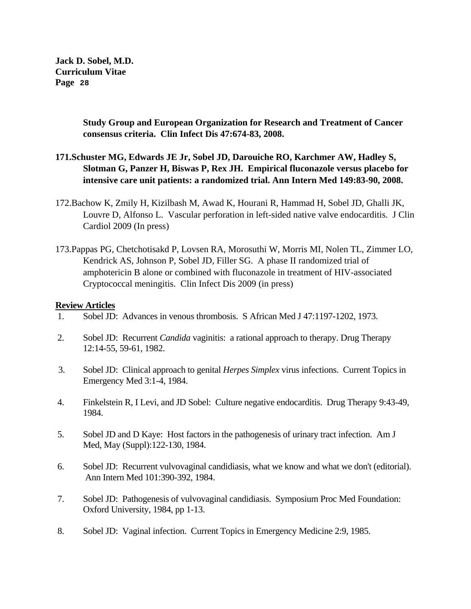> **Study Group and European Organization for Research and Treatment of Cancer consensus criteria. Clin Infect Dis 47:674-83, 2008.**

## **171.Schuster MG, Edwards JE Jr, Sobel JD, Darouiche RO, Karchmer AW, Hadley S, Slotman G, Panzer H, Biswas P, Rex JH. Empirical fluconazole versus placebo for intensive care unit patients: a randomized trial. Ann Intern Med 149:83-90, 2008.**

- 172.Bachow K, Zmily H, Kizilbash M, Awad K, Hourani R, Hammad H, Sobel JD, Ghalli JK, Louvre D, Alfonso L. Vascular perforation in left-sided native valve endocarditis. J Clin Cardiol 2009 (In press)
- 173.Pappas PG, Chetchotisakd P, Lovsen RA, Morosuthi W, Morris MI, Nolen TL, Zimmer LO, Kendrick AS, Johnson P, Sobel JD, Filler SG. A phase II randomized trial of amphotericin B alone or combined with fluconazole in treatment of HIV-associated Cryptococcal meningitis. Clin Infect Dis 2009 (in press)

## **Review Articles**

- 1. Sobel JD: Advances in venous thrombosis. S African Med J 47:1197-1202, 1973.
- 2. Sobel JD: Recurrent *Candida* vaginitis: a rational approach to therapy. Drug Therapy 12:14-55, 59-61, 1982.
- 3. Sobel JD: Clinical approach to genital *Herpes Simplex* virus infections. Current Topics in Emergency Med 3:1-4, 1984.
- 4. Finkelstein R, I Levi, and JD Sobel: Culture negative endocarditis. Drug Therapy 9:43-49, 1984.
- 5. Sobel JD and D Kaye: Host factors in the pathogenesis of urinary tract infection. Am J Med, May (Suppl):122-130, 1984.
- 6. Sobel JD: Recurrent vulvovaginal candidiasis, what we know and what we don't (editorial). Ann Intern Med 101:390-392, 1984.
- 7. Sobel JD: Pathogenesis of vulvovaginal candidiasis. Symposium Proc Med Foundation: Oxford University, 1984, pp 1-13.
- 8. Sobel JD: Vaginal infection. Current Topics in Emergency Medicine 2:9, 1985.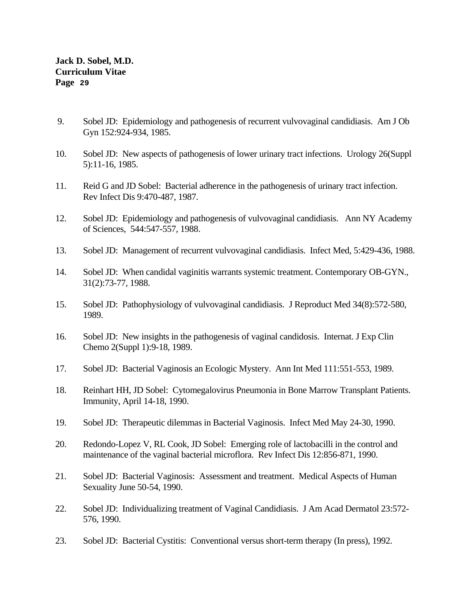- 9. Sobel JD: Epidemiology and pathogenesis of recurrent vulvovaginal candidiasis. Am J Ob Gyn 152:924-934, 1985.
- 10. Sobel JD: New aspects of pathogenesis of lower urinary tract infections. Urology 26(Suppl 5):11-16, 1985.
- 11. Reid G and JD Sobel: Bacterial adherence in the pathogenesis of urinary tract infection. Rev Infect Dis 9:470-487, 1987.
- 12. Sobel JD: Epidemiology and pathogenesis of vulvovaginal candidiasis. Ann NY Academy of Sciences, 544:547-557, 1988.
- 13. Sobel JD: Management of recurrent vulvovaginal candidiasis. Infect Med, 5:429-436, 1988.
- 14. Sobel JD: When candidal vaginitis warrants systemic treatment. Contemporary OB-GYN., 31(2):73-77, 1988.
- 15. Sobel JD: Pathophysiology of vulvovaginal candidiasis. J Reproduct Med 34(8):572-580, 1989.
- 16. Sobel JD: New insights in the pathogenesis of vaginal candidosis. Internat. J Exp Clin Chemo 2(Suppl 1):9-18, 1989.
- 17. Sobel JD: Bacterial Vaginosis an Ecologic Mystery. Ann Int Med 111:551-553, 1989.
- 18. Reinhart HH, JD Sobel: Cytomegalovirus Pneumonia in Bone Marrow Transplant Patients. Immunity, April 14-18, 1990.
- 19. Sobel JD: Therapeutic dilemmas in Bacterial Vaginosis. Infect Med May 24-30, 1990.
- 20. Redondo-Lopez V, RL Cook, JD Sobel: Emerging role of lactobacilli in the control and maintenance of the vaginal bacterial microflora. Rev Infect Dis 12:856-871, 1990.
- 21. Sobel JD: Bacterial Vaginosis: Assessment and treatment. Medical Aspects of Human Sexuality June 50-54, 1990.
- 22. Sobel JD: Individualizing treatment of Vaginal Candidiasis. J Am Acad Dermatol 23:572- 576, 1990.
- 23. Sobel JD: Bacterial Cystitis: Conventional versus short-term therapy (In press), 1992.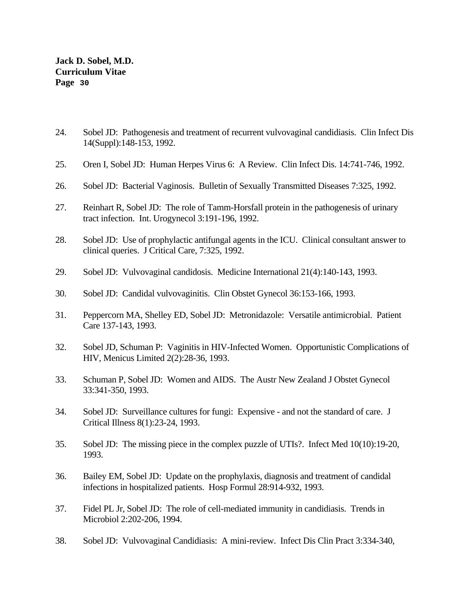- 24. Sobel JD: Pathogenesis and treatment of recurrent vulvovaginal candidiasis. Clin Infect Dis 14(Suppl):148-153, 1992.
- 25. Oren I, Sobel JD: Human Herpes Virus 6: A Review. Clin Infect Dis. 14:741-746, 1992.
- 26. Sobel JD: Bacterial Vaginosis. Bulletin of Sexually Transmitted Diseases 7:325, 1992.
- 27. Reinhart R, Sobel JD: The role of Tamm-Horsfall protein in the pathogenesis of urinary tract infection. Int. Urogynecol 3:191-196, 1992.
- 28. Sobel JD: Use of prophylactic antifungal agents in the ICU. Clinical consultant answer to clinical queries. J Critical Care, 7:325, 1992.
- 29. Sobel JD: Vulvovaginal candidosis. Medicine International 21(4):140-143, 1993.
- 30. Sobel JD: Candidal vulvovaginitis. Clin Obstet Gynecol 36:153-166, 1993.
- 31. Peppercorn MA, Shelley ED, Sobel JD: Metronidazole: Versatile antimicrobial. Patient Care 137-143, 1993.
- 32. Sobel JD, Schuman P: Vaginitis in HIV-Infected Women. Opportunistic Complications of HIV, Menicus Limited 2(2):28-36, 1993.
- 33. Schuman P, Sobel JD: Women and AIDS. The Austr New Zealand J Obstet Gynecol 33:341-350, 1993.
- 34. Sobel JD: Surveillance cultures for fungi: Expensive and not the standard of care. J Critical Illness 8(1):23-24, 1993.
- 35. Sobel JD: The missing piece in the complex puzzle of UTIs?. Infect Med 10(10):19-20, 1993.
- 36. Bailey EM, Sobel JD: Update on the prophylaxis, diagnosis and treatment of candidal infections in hospitalized patients. Hosp Formul 28:914-932, 1993.
- 37. Fidel PL Jr, Sobel JD: The role of cell-mediated immunity in candidiasis. Trends in Microbiol 2:202-206, 1994.
- 38. Sobel JD: Vulvovaginal Candidiasis: A mini-review. Infect Dis Clin Pract 3:334-340,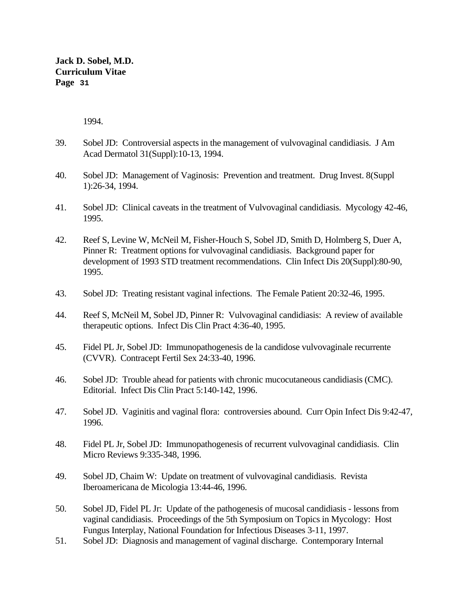1994.

- 39. Sobel JD: Controversial aspects in the management of vulvovaginal candidiasis. J Am Acad Dermatol 31(Suppl):10-13, 1994.
- 40. Sobel JD: Management of Vaginosis: Prevention and treatment. Drug Invest. 8(Suppl 1):26-34, 1994.
- 41. Sobel JD: Clinical caveats in the treatment of Vulvovaginal candidiasis. Mycology 42-46, 1995.
- 42. Reef S, Levine W, McNeil M, Fisher-Houch S, Sobel JD, Smith D, Holmberg S, Duer A, Pinner R: Treatment options for vulvovaginal candidiasis. Background paper for development of 1993 STD treatment recommendations. Clin Infect Dis 20(Suppl):80-90, 1995.
- 43. Sobel JD: Treating resistant vaginal infections. The Female Patient 20:32-46, 1995.
- 44. Reef S, McNeil M, Sobel JD, Pinner R: Vulvovaginal candidiasis: A review of available therapeutic options. Infect Dis Clin Pract 4:36-40, 1995.
- 45. Fidel PL Jr, Sobel JD: Immunopathogenesis de la candidose vulvovaginale recurrente (CVVR). Contracept Fertil Sex 24:33-40, 1996.
- 46. Sobel JD: Trouble ahead for patients with chronic mucocutaneous candidiasis (CMC). Editorial. Infect Dis Clin Pract 5:140-142, 1996.
- 47. Sobel JD. Vaginitis and vaginal flora: controversies abound. Curr Opin Infect Dis 9:42-47, 1996.
- 48. Fidel PL Jr, Sobel JD: Immunopathogenesis of recurrent vulvovaginal candidiasis. Clin Micro Reviews 9:335-348, 1996.
- 49. Sobel JD, Chaim W: Update on treatment of vulvovaginal candidiasis. Revista Iberoamericana de Micologia 13:44-46, 1996.
- 50. Sobel JD, Fidel PL Jr: Update of the pathogenesis of mucosal candidiasis lessons from vaginal candidiasis. Proceedings of the 5th Symposium on Topics in Mycology: Host Fungus Interplay, National Foundation for Infectious Diseases 3-11, 1997.
- 51. Sobel JD: Diagnosis and management of vaginal discharge. Contemporary Internal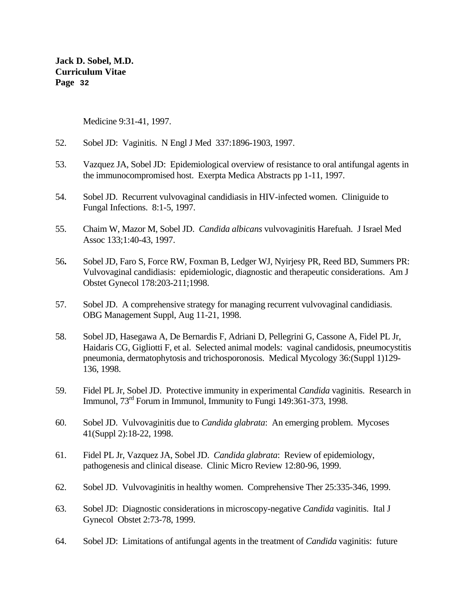Medicine 9:31-41, 1997.

- 52. Sobel JD: Vaginitis. N Engl J Med 337:1896-1903, 1997.
- 53. Vazquez JA, Sobel JD: Epidemiological overview of resistance to oral antifungal agents in the immunocompromised host. Exerpta Medica Abstracts pp 1-11, 1997.
- 54. Sobel JD. Recurrent vulvovaginal candidiasis in HIV-infected women. Cliniguide to Fungal Infections. 8:1-5, 1997.
- 55. Chaim W, Mazor M, Sobel JD. *Candida albicans* vulvovaginitis Harefuah. J Israel Med Assoc 133;1:40-43, 1997.
- 56**.** Sobel JD, Faro S, Force RW, Foxman B, Ledger WJ, Nyirjesy PR, Reed BD, Summers PR: Vulvovaginal candidiasis: epidemiologic, diagnostic and therapeutic considerations. Am J Obstet Gynecol 178:203-211;1998.
- 57. Sobel JD. A comprehensive strategy for managing recurrent vulvovaginal candidiasis. OBG Management Suppl, Aug 11-21, 1998.
- 58. Sobel JD, Hasegawa A, De Bernardis F, Adriani D, Pellegrini G, Cassone A, Fidel PL Jr, Haidaris CG, Gigliotti F, et al. Selected animal models: vaginal candidosis, pneumocystitis pneumonia, dermatophytosis and trichosporonosis. Medical Mycology 36:(Suppl 1)129- 136, 1998.
- 59. Fidel PL Jr, Sobel JD. Protective immunity in experimental *Candida* vaginitis. Research in Immunol,  $73<sup>rd</sup>$  Forum in Immunol, Immunity to Fungi 149:361-373, 1998.
- 60. Sobel JD. Vulvovaginitis due to *Candida glabrata*: An emerging problem. Mycoses 41(Suppl 2):18-22, 1998.
- 61. Fidel PL Jr, Vazquez JA, Sobel JD. *Candida glabrata*: Review of epidemiology, pathogenesis and clinical disease. Clinic Micro Review 12:80-96, 1999.
- 62. Sobel JD. Vulvovaginitis in healthy women. Comprehensive Ther 25:335-346, 1999.
- 63. Sobel JD: Diagnostic considerations in microscopy-negative *Candida* vaginitis. Ital J Gynecol Obstet 2:73-78, 1999.
- 64. Sobel JD: Limitations of antifungal agents in the treatment of *Candida* vaginitis: future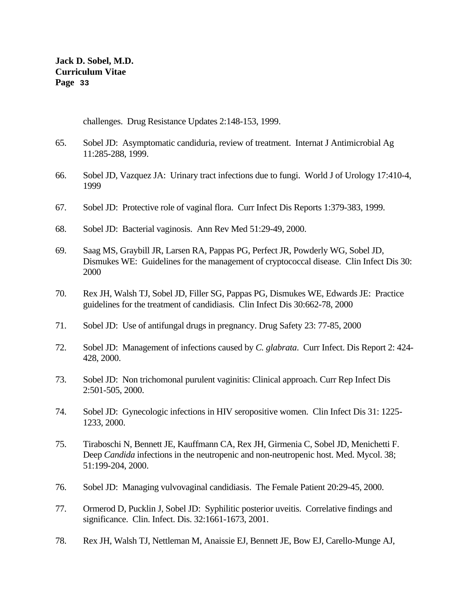challenges. Drug Resistance Updates 2:148-153, 1999.

- 65. Sobel JD: Asymptomatic candiduria, review of treatment. Internat J Antimicrobial Ag 11:285-288, 1999.
- 66. Sobel JD, Vazquez JA: Urinary tract infections due to fungi. World J of Urology 17:410-4, 1999
- 67. Sobel JD: Protective role of vaginal flora. Curr Infect Dis Reports 1:379-383, 1999.
- 68. Sobel JD: Bacterial vaginosis. Ann Rev Med 51:29-49, 2000.
- 69. Saag MS, Graybill JR, Larsen RA, Pappas PG, Perfect JR, Powderly WG, Sobel JD, Dismukes WE: Guidelines for the management of cryptococcal disease. Clin Infect Dis 30: 2000
- 70. Rex JH, Walsh TJ, Sobel JD, Filler SG, Pappas PG, Dismukes WE, Edwards JE: Practice guidelines for the treatment of candidiasis. Clin Infect Dis 30:662-78, 2000
- 71. Sobel JD: Use of antifungal drugs in pregnancy. Drug Safety 23: 77-85, 2000
- 72. Sobel JD: Management of infections caused by *C. glabrata*. Curr Infect. Dis Report 2: 424- 428, 2000.
- 73. Sobel JD: Non trichomonal purulent vaginitis: Clinical approach. Curr Rep Infect Dis 2:501-505, 2000.
- 74. Sobel JD: Gynecologic infections in HIV seropositive women. Clin Infect Dis 31: 1225- 1233, 2000.
- 75. Tiraboschi N, Bennett JE, Kauffmann CA, Rex JH, Girmenia C, Sobel JD, Menichetti F. Deep *Candida* infections in the neutropenic and non-neutropenic host. Med. Mycol. 38; 51:199-204, 2000.
- 76. Sobel JD: Managing vulvovaginal candidiasis. The Female Patient 20:29-45, 2000.
- 77. Ormerod D, Pucklin J, Sobel JD: Syphilitic posterior uveitis. Correlative findings and significance. Clin. Infect. Dis. 32:1661-1673, 2001.
- 78. Rex JH, Walsh TJ, Nettleman M, Anaissie EJ, Bennett JE, Bow EJ, Carello-Munge AJ,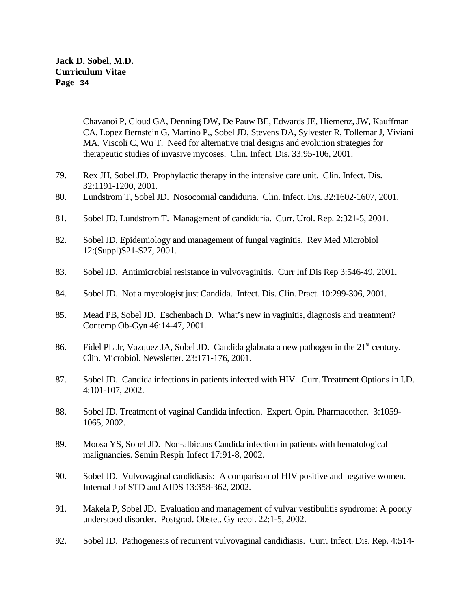> Chavanoi P, Cloud GA, Denning DW, De Pauw BE, Edwards JE, Hiemenz, JW, Kauffman CA, Lopez Bernstein G, Martino P,, Sobel JD, Stevens DA, Sylvester R, Tollemar J, Viviani MA, Viscoli C, Wu T. Need for alternative trial designs and evolution strategies for therapeutic studies of invasive mycoses. Clin. Infect. Dis. 33:95-106, 2001.

- 79. Rex JH, Sobel JD. Prophylactic therapy in the intensive care unit. Clin. Infect. Dis. 32:1191-1200, 2001.
- 80. Lundstrom T, Sobel JD. Nosocomial candiduria. Clin. Infect. Dis. 32:1602-1607, 2001.
- 81. Sobel JD, Lundstrom T. Management of candiduria. Curr. Urol. Rep. 2:321-5, 2001.
- 82. Sobel JD, Epidemiology and management of fungal vaginitis. Rev Med Microbiol 12:(Suppl)S21-S27, 2001.
- 83. Sobel JD. Antimicrobial resistance in vulvovaginitis. Curr Inf Dis Rep 3:546-49, 2001.
- 84. Sobel JD. Not a mycologist just Candida. Infect. Dis. Clin. Pract. 10:299-306, 2001.
- 85. Mead PB, Sobel JD. Eschenbach D. What's new in vaginitis, diagnosis and treatment? Contemp Ob-Gyn 46:14-47, 2001.
- 86. Fidel PL Jr, Vazquez JA, Sobel JD. Candida glabrata a new pathogen in the  $21<sup>st</sup>$  century. Clin. Microbiol. Newsletter. 23:171-176, 2001.
- 87. Sobel JD. Candida infections in patients infected with HIV. Curr. Treatment Options in I.D. 4:101-107, 2002.
- 88. Sobel JD. Treatment of vaginal Candida infection. Expert. Opin. Pharmacother. 3:1059- 1065, 2002.
- 89. Moosa YS, Sobel JD. Non-albicans Candida infection in patients with hematological malignancies. Semin Respir Infect 17:91-8, 2002.
- 90. Sobel JD. Vulvovaginal candidiasis: A comparison of HIV positive and negative women. Internal J of STD and AIDS 13:358-362, 2002.
- 91. Makela P, Sobel JD. Evaluation and management of vulvar vestibulitis syndrome: A poorly understood disorder. Postgrad. Obstet. Gynecol. 22:1-5, 2002.
- 92. Sobel JD. Pathogenesis of recurrent vulvovaginal candidiasis. Curr. Infect. Dis. Rep. 4:514-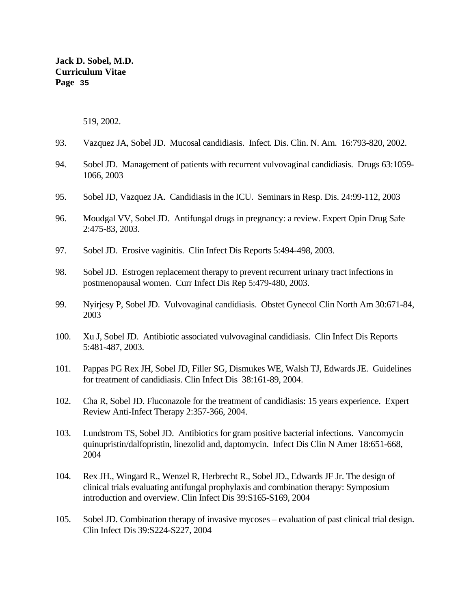519, 2002.

- 93. Vazquez JA, Sobel JD. Mucosal candidiasis. Infect. Dis. Clin. N. Am. 16:793-820, 2002.
- 94. Sobel JD. Management of patients with recurrent vulvovaginal candidiasis. Drugs 63:1059- 1066, 2003
- 95. Sobel JD, Vazquez JA. Candidiasis in the ICU. Seminars in Resp. Dis. 24:99-112, 2003
- 96. Moudgal VV, Sobel JD. Antifungal drugs in pregnancy: a review. Expert Opin Drug Safe 2:475-83, 2003.
- 97. Sobel JD. Erosive vaginitis. Clin Infect Dis Reports 5:494-498, 2003.
- 98. Sobel JD. Estrogen replacement therapy to prevent recurrent urinary tract infections in postmenopausal women. Curr Infect Dis Rep 5:479-480, 2003.
- 99. Nyirjesy P, Sobel JD. Vulvovaginal candidiasis. Obstet Gynecol Clin North Am 30:671-84, 2003
- 100. Xu J, Sobel JD. Antibiotic associated vulvovaginal candidiasis. Clin Infect Dis Reports 5:481-487, 2003.
- 101. Pappas PG Rex JH, Sobel JD, Filler SG, Dismukes WE, Walsh TJ, Edwards JE. Guidelines for treatment of candidiasis. Clin Infect Dis 38:161-89, 2004.
- 102. Cha R, Sobel JD. Fluconazole for the treatment of candidiasis: 15 years experience. Expert Review Anti-Infect Therapy 2:357-366, 2004.
- 103. Lundstrom TS, Sobel JD. Antibiotics for gram positive bacterial infections. Vancomycin quinupristin/dalfopristin, linezolid and, daptomycin. Infect Dis Clin N Amer 18:651-668, 2004
- 104. Rex JH., Wingard R., Wenzel R, Herbrecht R., Sobel JD., Edwards JF Jr. The design of clinical trials evaluating antifungal prophylaxis and combination therapy: Symposium introduction and overview. Clin Infect Dis 39:S165-S169, 2004
- 105. Sobel JD. Combination therapy of invasive mycoses evaluation of past clinical trial design. Clin Infect Dis 39:S224-S227, 2004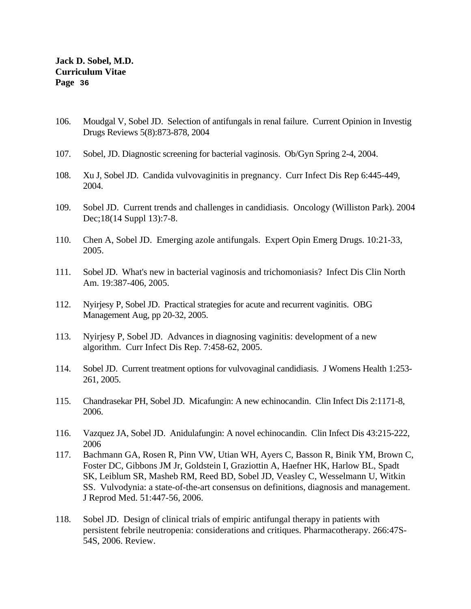- 106. Moudgal V, Sobel JD. Selection of antifungals in renal failure. Current Opinion in Investig Drugs Reviews 5(8):873-878, 2004
- 107. Sobel, JD. Diagnostic screening for bacterial vaginosis. Ob/Gyn Spring 2-4, 2004.
- 108. Xu J, Sobel JD. Candida vulvovaginitis in pregnancy. Curr Infect Dis Rep 6:445-449, 2004.
- 109. Sobel JD. Current trends and challenges in candidiasis. Oncology (Williston Park). 2004 Dec;18(14 Suppl 13):7-8.
- 110. Chen A, Sobel JD. Emerging azole antifungals. Expert Opin Emerg Drugs. 10:21-33, 2005.
- 111. Sobel JD. What's new in bacterial vaginosis and trichomoniasis? Infect Dis Clin North Am. 19:387-406, 2005.
- 112. Nyirjesy P, Sobel JD. Practical strategies for acute and recurrent vaginitis. OBG Management Aug, pp 20-32, 2005.
- 113. Nyirjesy P, Sobel JD. Advances in diagnosing vaginitis: development of a new algorithm. Curr Infect Dis Rep. 7:458-62, 2005.
- 114. Sobel JD. Current treatment options for vulvovaginal candidiasis. J Womens Health 1:253- 261, 2005.
- 115. Chandrasekar PH, Sobel JD. Micafungin: A new echinocandin. Clin Infect Dis 2:1171-8, 2006.
- 116. Vazquez JA, Sobel JD. Anidulafungin: A novel echinocandin. Clin Infect Dis 43:215-222, 2006
- 117. Bachmann GA, Rosen R, Pinn VW, Utian WH, Ayers C, Basson R, Binik YM, Brown C, Foster DC, Gibbons JM Jr, Goldstein I, Graziottin A, Haefner HK, Harlow BL, Spadt SK, Leiblum SR, Masheb RM, Reed BD, Sobel JD, Veasley C, Wesselmann U, Witkin SS. Vulvodynia: a state-of-the-art consensus on definitions, diagnosis and management. J Reprod Med. 51:447-56, 2006.
- 118. Sobel JD. Design of clinical trials of empiric antifungal therapy in patients with persistent febrile neutropenia: considerations and critiques. Pharmacotherapy. 266:47S-54S, 2006. Review.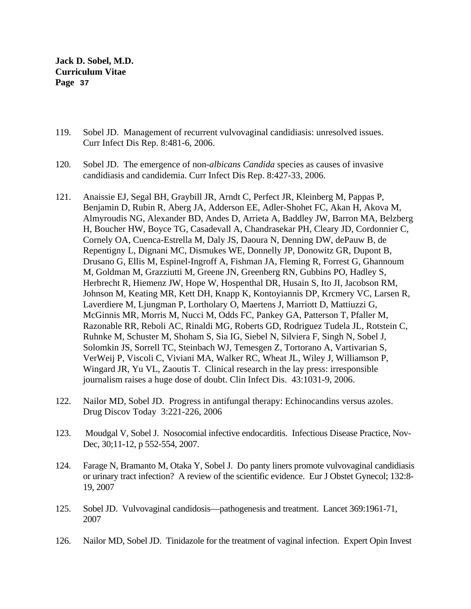- 119. Sobel JD. Management of recurrent vulvovaginal candidiasis: unresolved issues. Curr Infect Dis Rep. 8:481-6, 2006.
- 120. Sobel JD. The emergence of non-*albicans Candida* species as causes of invasive candidiasis and candidemia. Curr Infect Dis Rep. 8:427-33, 2006.
- 121. Anaissie EJ, Segal BH, Graybill JR, Arndt C, Perfect JR, Kleinberg M, Pappas P, Benjamin D, Rubin R, Aberg JA, Adderson EE, Adler-Shohet FC, Akan H, Akova M, Almyroudis NG, Alexander BD, Andes D, Arrieta A, Baddley JW, Barron MA, Belzberg H, Boucher HW, Boyce TG, Casadevall A, Chandrasekar PH, Cleary JD, Cordonnier C, Cornely OA, Cuenca-Estrella M, Daly JS, Daoura N, Denning DW, dePauw B, de Repentigny L, Dignani MC, Dismukes WE, Donnelly JP, Donowitz GR, Dupont B, Drusano G, Ellis M, Espinel-Ingroff A, Fishman JA, Fleming R, Forrest G, Ghannoum M, Goldman M, Grazziutti M, Greene JN, Greenberg RN, Gubbins PO, Hadley S, Herbrecht R, Hiemenz JW, Hope W, Hospenthal DR, Husain S, Ito JI, Jacobson RM, Johnson M, Keating MR, Kett DH, Knapp K, Kontoyiannis DP, Krcmery VC, Larsen R, Laverdiere M, Ljungman P, Lortholary O, Maertens J, Marriott D, Mattiuzzi G, McGinnis MR, Morris M, Nucci M, Odds FC, Pankey GA, Patterson T, Pfaller M, Razonable RR, Reboli AC, Rinaldi MG, Roberts GD, Rodriguez Tudela JL, Rotstein C, Ruhnke M, Schuster M, Shoham S, Sia IG, Siebel N, Silviera F, Singh N, Sobel J, Solomkin JS, Sorrell TC, Steinbach WJ, Temesgen Z, Tortorano A, Vartivarian S, VerWeij P, Viscoli C, Viviani MA, Walker RC, Wheat JL, Wiley J, Williamson P, Wingard JR, Yu VL, Zaoutis T. Clinical research in the lay press: irresponsible journalism raises a huge dose of doubt. Clin Infect Dis. 43:1031-9, 2006.
- 122. Nailor MD, Sobel JD. Progress in antifungal therapy: Echinocandins versus azoles. Drug Discov Today 3:221-226, 2006
- 123. Moudgal V, Sobel J. Nosocomial infective endocarditis. Infectious Disease Practice, Nov-Dec, 30;11-12, p 552-554, 2007.
- 124. Farage N, Bramanto M, Otaka Y, Sobel J. Do panty liners promote vulvovaginal candidiasis or urinary tract infection? A review of the scientific evidence. Eur J Obstet Gynecol; 132:8- 19, 2007
- 125. Sobel JD. Vulvovaginal candidosis—pathogenesis and treatment. Lancet 369:1961-71, 2007
- 126. Nailor MD, Sobel JD. Tinidazole for the treatment of vaginal infection. Expert Opin Invest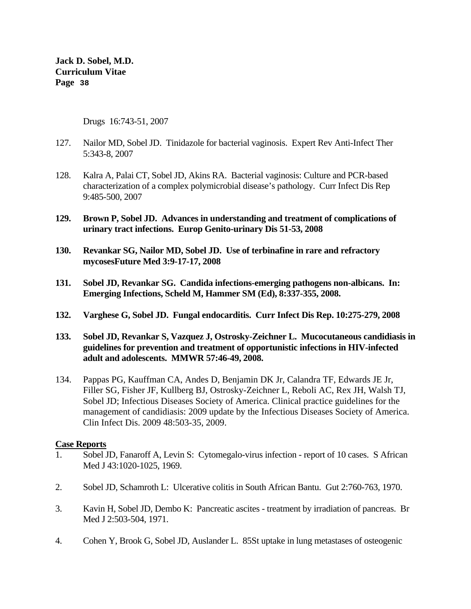Drugs 16:743-51, 2007

- 127. Nailor MD, Sobel JD. Tinidazole for bacterial vaginosis. Expert Rev Anti-Infect Ther 5:343-8, 2007
- 128. Kalra A, Palai CT, Sobel JD, Akins RA. Bacterial vaginosis: Culture and PCR-based characterization of a complex polymicrobial disease's pathology. Curr Infect Dis Rep 9:485-500, 2007
- **129. Brown P, Sobel JD. Advances in understanding and treatment of complications of urinary tract infections. Europ Genito-urinary Dis 51-53, 2008**
- **130. Revankar SG, Nailor MD, Sobel JD. Use of terbinafine in rare and refractory mycosesFuture Med 3:9-17-17, 2008**
- **131. Sobel JD, Revankar SG. Candida infections-emerging pathogens non-albicans. In: Emerging Infections, Scheld M, Hammer SM (Ed), 8:337-355, 2008.**
- **132. Varghese G, Sobel JD. Fungal endocarditis. Curr Infect Dis Rep. 10:275-279, 2008**
- **133. Sobel JD, Revankar S, Vazquez J, Ostrosky-Zeichner L. Mucocutaneous candidiasis in guidelines for prevention and treatment of opportunistic infections in HIV-infected adult and adolescents. MMWR 57:46-49, 2008.**
- 134. Pappas PG, Kauffman CA, Andes D, Benjamin DK Jr, Calandra TF, Edwards JE Jr, Filler SG, Fisher JF, Kullberg BJ, Ostrosky-Zeichner L, Reboli AC, Rex JH, Walsh TJ, Sobel JD; Infectious Diseases Society of America. Clinical practice guidelines for the management of candidiasis: 2009 update by the Infectious Diseases Society of America. Clin Infect Dis. 2009 48:503-35, 2009.

## **Case Reports**

- 1. Sobel JD, Fanaroff A, Levin S: Cytomegalo-virus infection report of 10 cases. S African Med J 43:1020-1025, 1969.
- 2. Sobel JD, Schamroth L: Ulcerative colitis in South African Bantu. Gut 2:760-763, 1970.
- 3. Kavin H, Sobel JD, Dembo K: Pancreatic ascites treatment by irradiation of pancreas. Br Med J 2:503-504, 1971.
- 4. Cohen Y, Brook G, Sobel JD, Auslander L. 85St uptake in lung metastases of osteogenic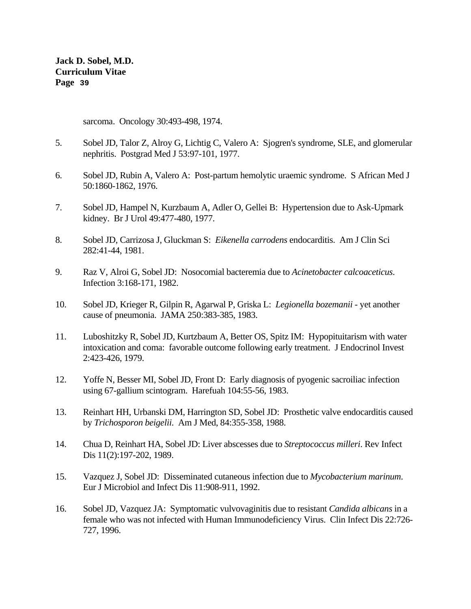sarcoma. Oncology 30:493-498, 1974.

- 5. Sobel JD, Talor Z, Alroy G, Lichtig C, Valero A: Sjogren's syndrome, SLE, and glomerular nephritis. Postgrad Med J 53:97-101, 1977.
- 6. Sobel JD, Rubin A, Valero A: Post-partum hemolytic uraemic syndrome. S African Med J 50:1860-1862, 1976.
- 7. Sobel JD, Hampel N, Kurzbaum A, Adler O, Gellei B: Hypertension due to Ask-Upmark kidney. Br J Urol 49:477-480, 1977.
- 8. Sobel JD, Carrizosa J, Gluckman S: *Eikenella carrodens* endocarditis. Am J Clin Sci 282:41-44, 1981.
- 9. Raz V, Alroi G, Sobel JD: Nosocomial bacteremia due to *Acinetobacter calcoaceticus*. Infection 3:168-171, 1982.
- 10. Sobel JD, Krieger R, Gilpin R, Agarwal P, Griska L: *Legionella bozemanii* yet another cause of pneumonia. JAMA 250:383-385, 1983.
- 11. Luboshitzky R, Sobel JD, Kurtzbaum A, Better OS, Spitz IM: Hypopituitarism with water intoxication and coma: favorable outcome following early treatment. J Endocrinol Invest 2:423-426, 1979.
- 12. Yoffe N, Besser MI, Sobel JD, Front D: Early diagnosis of pyogenic sacroiliac infection using 67-gallium scintogram. Harefuah 104:55-56, 1983.
- 13. Reinhart HH, Urbanski DM, Harrington SD, Sobel JD: Prosthetic valve endocarditis caused by *Trichosporon beigelii*. Am J Med, 84:355-358, 1988.
- 14. Chua D, Reinhart HA, Sobel JD: Liver abscesses due to *Streptococcus milleri*. Rev Infect Dis 11(2):197-202, 1989.
- 15. Vazquez J, Sobel JD: Disseminated cutaneous infection due to *Mycobacterium marinum*. Eur J Microbiol and Infect Dis 11:908-911, 1992.
- 16. Sobel JD, Vazquez JA: Symptomatic vulvovaginitis due to resistant *Candida albicans* in a female who was not infected with Human Immunodeficiency Virus. Clin Infect Dis 22:726- 727, 1996.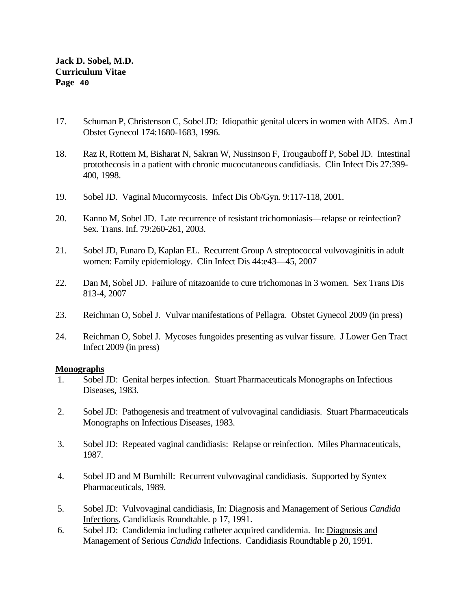- 17. Schuman P, Christenson C, Sobel JD: Idiopathic genital ulcers in women with AIDS. Am J Obstet Gynecol 174:1680-1683, 1996.
- 18. Raz R, Rottem M, Bisharat N, Sakran W, Nussinson F, Trougauboff P, Sobel JD. Intestinal protothecosis in a patient with chronic mucocutaneous candidiasis. Clin Infect Dis 27:399- 400, 1998.
- 19. Sobel JD. Vaginal Mucormycosis. Infect Dis Ob/Gyn. 9:117-118, 2001.
- 20. Kanno M, Sobel JD. Late recurrence of resistant trichomoniasis—relapse or reinfection? Sex. Trans. Inf. 79:260-261, 2003.
- 21. Sobel JD, Funaro D, Kaplan EL. Recurrent Group A streptococcal vulvovaginitis in adult women: Family epidemiology. Clin Infect Dis 44:e43—45, 2007
- 22. Dan M, Sobel JD. Failure of nitazoanide to cure trichomonas in 3 women. Sex Trans Dis 813-4, 2007
- 23. Reichman O, Sobel J. Vulvar manifestations of Pellagra. Obstet Gynecol 2009 (in press)
- 24. Reichman O, Sobel J. Mycoses fungoides presenting as vulvar fissure. J Lower Gen Tract Infect 2009 (in press)

#### **Monographs**

- 1. Sobel JD: Genital herpes infection. Stuart Pharmaceuticals Monographs on Infectious Diseases, 1983.
- 2. Sobel JD: Pathogenesis and treatment of vulvovaginal candidiasis. Stuart Pharmaceuticals Monographs on Infectious Diseases, 1983.
- 3. Sobel JD: Repeated vaginal candidiasis: Relapse or reinfection. Miles Pharmaceuticals, 1987.
- 4. Sobel JD and M Burnhill: Recurrent vulvovaginal candidiasis. Supported by Syntex Pharmaceuticals, 1989.
- 5. Sobel JD: Vulvovaginal candidiasis, In: Diagnosis and Management of Serious *Candida* Infections, Candidiasis Roundtable. p 17, 1991.
- 6. Sobel JD: Candidemia including catheter acquired candidemia. In: Diagnosis and Management of Serious *Candida* Infections. Candidiasis Roundtable p 20, 1991.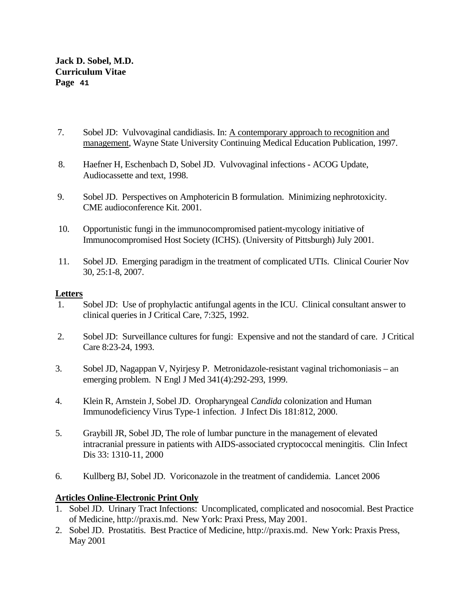- 7. Sobel JD: Vulvovaginal candidiasis. In: A contemporary approach to recognition and management, Wayne State University Continuing Medical Education Publication, 1997.
- 8. Haefner H, Eschenbach D, Sobel JD. Vulvovaginal infections ACOG Update, Audiocassette and text, 1998.
- 9. Sobel JD. Perspectives on Amphotericin B formulation. Minimizing nephrotoxicity. CME audioconference Kit. 2001.
- 10. Opportunistic fungi in the immunocompromised patient-mycology initiative of Immunocompromised Host Society (ICHS). (University of Pittsburgh) July 2001.
- 11. Sobel JD. Emerging paradigm in the treatment of complicated UTIs. Clinical Courier Nov 30, 25:1-8, 2007.

## **Letters**

- 1. Sobel JD: Use of prophylactic antifungal agents in the ICU. Clinical consultant answer to clinical queries in J Critical Care, 7:325, 1992.
- 2. Sobel JD: Surveillance cultures for fungi: Expensive and not the standard of care. J Critical Care 8:23-24, 1993.
- 3. Sobel JD, Nagappan V, Nyirjesy P. Metronidazole-resistant vaginal trichomoniasis an emerging problem. N Engl J Med 341(4):292-293, 1999.
- 4. Klein R, Arnstein J, Sobel JD. Oropharyngeal *Candida* colonization and Human Immunodeficiency Virus Type-1 infection. J Infect Dis 181:812, 2000.
- 5. Graybill JR, Sobel JD, The role of lumbar puncture in the management of elevated intracranial pressure in patients with AIDS-associated cryptococcal meningitis. Clin Infect Dis 33: 1310-11, 2000
- 6. Kullberg BJ, Sobel JD. Voriconazole in the treatment of candidemia. Lancet 2006

## **Articles Online-Electronic Print Only**

- 1. Sobel JD. Urinary Tract Infections: Uncomplicated, complicated and nosocomial. Best Practice of Medicine, http://praxis.md. New York: Praxi Press, May 2001.
- 2. Sobel JD. Prostatitis. Best Practice of Medicine, http://praxis.md. New York: Praxis Press, May 2001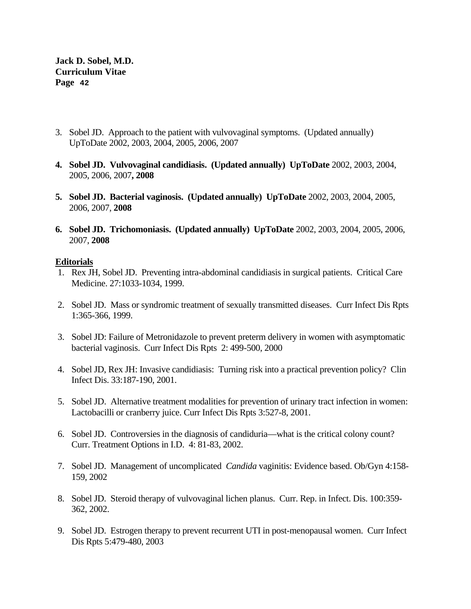- 3. Sobel JD. Approach to the patient with vulvovaginal symptoms. (Updated annually) UpToDate 2002, 2003, 2004, 2005, 2006, 2007
- **4. Sobel JD. Vulvovaginal candidiasis. (Updated annually) UpToDate** 2002, 2003, 2004, 2005, 2006, 2007**, 2008**
- **5. Sobel JD. Bacterial vaginosis. (Updated annually) UpToDate** 2002, 2003, 2004, 2005, 2006, 2007, **2008**
- **6. Sobel JD. Trichomoniasis. (Updated annually) UpToDate** 2002, 2003, 2004, 2005, 2006, 2007, **2008**

#### **Editorials**

- 1. Rex JH, Sobel JD. Preventing intra-abdominal candidiasis in surgical patients. Critical Care Medicine. 27:1033-1034, 1999.
- 2. Sobel JD. Mass or syndromic treatment of sexually transmitted diseases. Curr Infect Dis Rpts 1:365-366, 1999.
- 3. Sobel JD: Failure of Metronidazole to prevent preterm delivery in women with asymptomatic bacterial vaginosis. Curr Infect Dis Rpts 2: 499-500, 2000
- 4. Sobel JD, Rex JH: Invasive candidiasis: Turning risk into a practical prevention policy? Clin Infect Dis. 33:187-190, 2001.
- 5. Sobel JD. Alternative treatment modalities for prevention of urinary tract infection in women: Lactobacilli or cranberry juice. Curr Infect Dis Rpts 3:527-8, 2001.
- 6. Sobel JD. Controversies in the diagnosis of candiduria—what is the critical colony count? Curr. Treatment Options in I.D. 4: 81-83, 2002.
- 7. Sobel JD. Management of uncomplicated *Candida* vaginitis: Evidence based. Ob/Gyn 4:158- 159, 2002
- 8. Sobel JD. Steroid therapy of vulvovaginal lichen planus. Curr. Rep. in Infect. Dis. 100:359- 362, 2002.
- 9. Sobel JD. Estrogen therapy to prevent recurrent UTI in post-menopausal women. Curr Infect Dis Rpts 5:479-480, 2003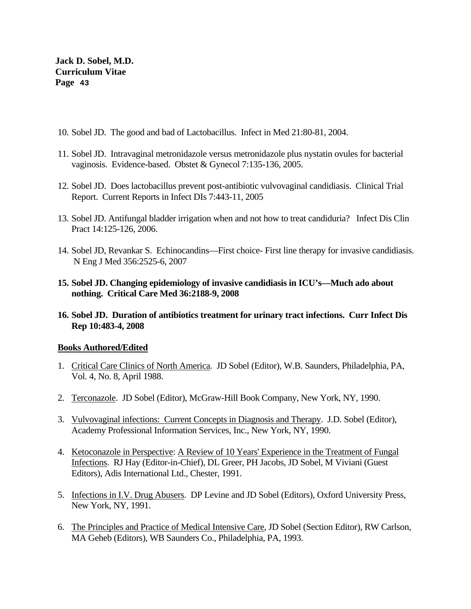- 10. Sobel JD. The good and bad of Lactobacillus. Infect in Med 21:80-81, 2004.
- 11. Sobel JD. Intravaginal metronidazole versus metronidazole plus nystatin ovules for bacterial vaginosis. Evidence-based. Obstet & Gynecol 7:135-136, 2005.
- 12. Sobel JD. Does lactobacillus prevent post-antibiotic vulvovaginal candidiasis. Clinical Trial Report. Current Reports in Infect DIs 7:443-11, 2005
- 13. Sobel JD. Antifungal bladder irrigation when and not how to treat candiduria? Infect Dis Clin Pract 14:125-126, 2006.
- 14. Sobel JD, Revankar S. Echinocandins—First choice- First line therapy for invasive candidiasis. N Eng J Med 356:2525-6, 2007
- **15. Sobel JD. Changing epidemiology of invasive candidiasis in ICU's—Much ado about nothing. Critical Care Med 36:2188-9, 2008**
- **16. Sobel JD. Duration of antibiotics treatment for urinary tract infections. Curr Infect Dis Rep 10:483-4, 2008**

## **Books Authored/Edited**

- 1. Critical Care Clinics of North America. JD Sobel (Editor), W.B. Saunders, Philadelphia, PA, Vol. 4, No. 8, April 1988.
- 2. Terconazole. JD Sobel (Editor), McGraw-Hill Book Company, New York, NY, 1990.
- 3. Vulvovaginal infections: Current Concepts in Diagnosis and Therapy. J.D. Sobel (Editor), Academy Professional Information Services, Inc., New York, NY, 1990.
- 4. Ketoconazole in Perspective: A Review of 10 Years' Experience in the Treatment of Fungal Infections. RJ Hay (Editor-in-Chief), DL Greer, PH Jacobs, JD Sobel, M Viviani (Guest Editors), Adis International Ltd., Chester, 1991.
- 5. Infections in I.V. Drug Abusers. DP Levine and JD Sobel (Editors), Oxford University Press, New York, NY, 1991.
- 6. The Principles and Practice of Medical Intensive Care, JD Sobel (Section Editor), RW Carlson, MA Geheb (Editors), WB Saunders Co., Philadelphia, PA, 1993.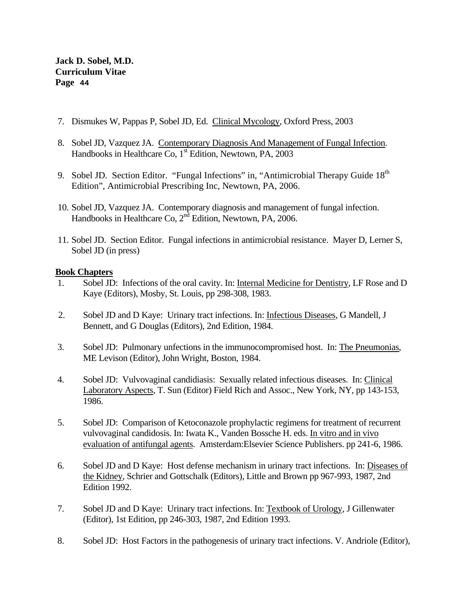- 7. Dismukes W, Pappas P, Sobel JD, Ed. Clinical Mycology, Oxford Press, 2003
- 8. Sobel JD, Vazquez JA. Contemporary Diagnosis And Management of Fungal Infection. Handbooks in Healthcare Co, 1<sup>st</sup> Edition, Newtown, PA, 2003
- 9. Sobel JD. Section Editor. "Fungal Infections" in, "Antimicrobial Therapy Guide  $18<sup>th</sup>$ Edition", Antimicrobial Prescribing Inc, Newtown, PA, 2006.
- 10. Sobel JD, Vazquez JA. Contemporary diagnosis and management of fungal infection. Handbooks in Healthcare Co, 2nd Edition, Newtown, PA, 2006.
- 11. Sobel JD. Section Editor. Fungal infections in antimicrobial resistance. Mayer D, Lerner S, Sobel JD (in press)

## **Book Chapters**

- 1. Sobel JD: Infections of the oral cavity. In: Internal Medicine for Dentistry, LF Rose and D Kaye (Editors), Mosby, St. Louis, pp 298-308, 1983.
- 2. Sobel JD and D Kaye: Urinary tract infections. In: Infectious Diseases, G Mandell, J Bennett, and G Douglas (Editors), 2nd Edition, 1984.
- 3. Sobel JD: Pulmonary unfections in the immunocompromised host. In: The Pneumonias, ME Levison (Editor), John Wright, Boston, 1984.
- 4. Sobel JD: Vulvovaginal candidiasis: Sexually related infectious diseases. In: Clinical Laboratory Aspects, T. Sun (Editor) Field Rich and Assoc., New York, NY, pp 143-153, 1986.
- 5. Sobel JD: Comparison of Ketoconazole prophylactic regimens for treatment of recurrent vulvovaginal candidosis. In: Iwata K., Vanden Bossche H. eds. In vitro and in vivo evaluation of antifungal agents. Amsterdam:Elsevier Science Publishers. pp 241-6, 1986.
- 6. Sobel JD and D Kaye: Host defense mechanism in urinary tract infections. In: Diseases of the Kidney, Schrier and Gottschalk (Editors), Little and Brown pp 967-993, 1987, 2nd Edition 1992.
- 7. Sobel JD and D Kaye: Urinary tract infections. In: Textbook of Urology, J Gillenwater (Editor), 1st Edition, pp 246-303, 1987, 2nd Edition 1993.
- 8. Sobel JD: Host Factors in the pathogenesis of urinary tract infections. V. Andriole (Editor),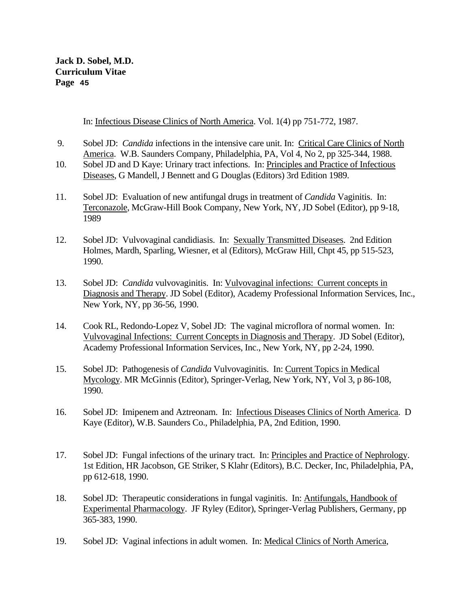In: Infectious Disease Clinics of North America. Vol. 1(4) pp 751-772, 1987.

- 9. Sobel JD: *Candida* infections in the intensive care unit. In: Critical Care Clinics of North America. W.B. Saunders Company, Philadelphia, PA, Vol 4, No 2, pp 325-344, 1988.
- 10. Sobel JD and D Kaye: Urinary tract infections. In: Principles and Practice of Infectious Diseases, G Mandell, J Bennett and G Douglas (Editors) 3rd Edition 1989.
- 11. Sobel JD: Evaluation of new antifungal drugs in treatment of *Candida* Vaginitis. In: Terconazole, McGraw-Hill Book Company, New York, NY, JD Sobel (Editor), pp 9-18, 1989
- 12. Sobel JD: Vulvovaginal candidiasis. In: Sexually Transmitted Diseases. 2nd Edition Holmes, Mardh, Sparling, Wiesner, et al (Editors), McGraw Hill, Chpt 45, pp 515-523, 1990.
- 13. Sobel JD: *Candida* vulvovaginitis. In: Vulvovaginal infections: Current concepts in Diagnosis and Therapy. JD Sobel (Editor), Academy Professional Information Services, Inc., New York, NY, pp 36-56, 1990.
- 14. Cook RL, Redondo-Lopez V, Sobel JD: The vaginal microflora of normal women. In: Vulvovaginal Infections: Current Concepts in Diagnosis and Therapy. JD Sobel (Editor), Academy Professional Information Services, Inc., New York, NY, pp 2-24, 1990.
- 15. Sobel JD: Pathogenesis of *Candida* Vulvovaginitis. In: Current Topics in Medical Mycology. MR McGinnis (Editor), Springer-Verlag, New York, NY, Vol 3, p 86-108, 1990.
- 16. Sobel JD: Imipenem and Aztreonam. In: Infectious Diseases Clinics of North America. D Kaye (Editor), W.B. Saunders Co., Philadelphia, PA, 2nd Edition, 1990.
- 17. Sobel JD: Fungal infections of the urinary tract. In: Principles and Practice of Nephrology. 1st Edition, HR Jacobson, GE Striker, S Klahr (Editors), B.C. Decker, Inc, Philadelphia, PA, pp 612-618, 1990.
- 18. Sobel JD: Therapeutic considerations in fungal vaginitis. In: Antifungals, Handbook of Experimental Pharmacology. JF Ryley (Editor), Springer-Verlag Publishers, Germany, pp 365-383, 1990.
- 19. Sobel JD: Vaginal infections in adult women. In: Medical Clinics of North America,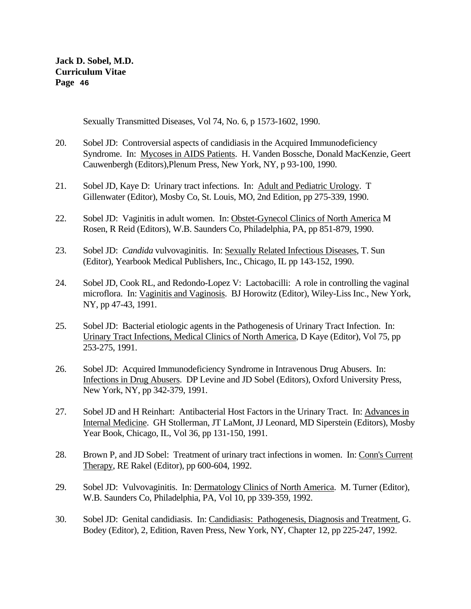Sexually Transmitted Diseases, Vol 74, No. 6, p 1573-1602, 1990.

- 20. Sobel JD: Controversial aspects of candidiasis in the Acquired Immunodeficiency Syndrome. In: Mycoses in AIDS Patients. H. Vanden Bossche, Donald MacKenzie, Geert Cauwenbergh (Editors),Plenum Press, New York, NY, p 93-100, 1990.
- 21. Sobel JD, Kaye D: Urinary tract infections. In: Adult and Pediatric Urology. T Gillenwater (Editor), Mosby Co, St. Louis, MO, 2nd Edition, pp 275-339, 1990.
- 22. Sobel JD: Vaginitis in adult women. In: Obstet-Gynecol Clinics of North America M Rosen, R Reid (Editors), W.B. Saunders Co, Philadelphia, PA, pp 851-879, 1990.
- 23. Sobel JD: *Candida* vulvovaginitis. In: Sexually Related Infectious Diseases, T. Sun (Editor), Yearbook Medical Publishers, Inc., Chicago, IL pp 143-152, 1990.
- 24. Sobel JD, Cook RL, and Redondo-Lopez V: Lactobacilli: A role in controlling the vaginal microflora. In: Vaginitis and Vaginosis. BJ Horowitz (Editor), Wiley-Liss Inc., New York, NY, pp 47-43, 1991.
- 25. Sobel JD: Bacterial etiologic agents in the Pathogenesis of Urinary Tract Infection. In: Urinary Tract Infections, Medical Clinics of North America, D Kaye (Editor), Vol 75, pp 253-275, 1991.
- 26. Sobel JD: Acquired Immunodeficiency Syndrome in Intravenous Drug Abusers. In: Infections in Drug Abusers. DP Levine and JD Sobel (Editors), Oxford University Press, New York, NY, pp 342-379, 1991.
- 27. Sobel JD and H Reinhart: Antibacterial Host Factors in the Urinary Tract. In: Advances in Internal Medicine. GH Stollerman, JT LaMont, JJ Leonard, MD Siperstein (Editors), Mosby Year Book, Chicago, IL, Vol 36, pp 131-150, 1991.
- 28. Brown P, and JD Sobel: Treatment of urinary tract infections in women. In: Conn's Current Therapy, RE Rakel (Editor), pp 600-604, 1992.
- 29. Sobel JD: Vulvovaginitis. In: Dermatology Clinics of North America. M. Turner (Editor), W.B. Saunders Co, Philadelphia, PA, Vol 10, pp 339-359, 1992.
- 30. Sobel JD: Genital candidiasis. In: Candidiasis: Pathogenesis, Diagnosis and Treatment, G. Bodey (Editor), 2, Edition, Raven Press, New York, NY, Chapter 12, pp 225-247, 1992.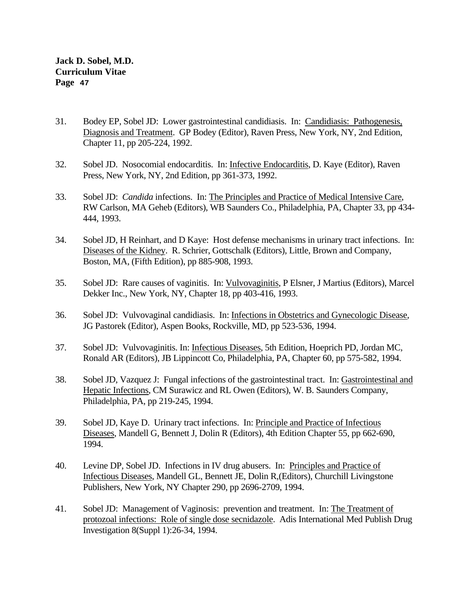- 31. Bodey EP, Sobel JD: Lower gastrointestinal candidiasis. In: Candidiasis: Pathogenesis, Diagnosis and Treatment. GP Bodey (Editor), Raven Press, New York, NY, 2nd Edition, Chapter 11, pp 205-224, 1992.
- 32. Sobel JD. Nosocomial endocarditis. In: Infective Endocarditis, D. Kaye (Editor), Raven Press, New York, NY, 2nd Edition, pp 361-373, 1992.
- 33. Sobel JD: *Candida* infections. In: The Principles and Practice of Medical Intensive Care, RW Carlson, MA Geheb (Editors), WB Saunders Co., Philadelphia, PA, Chapter 33, pp 434- 444, 1993.
- 34. Sobel JD, H Reinhart, and D Kaye: Host defense mechanisms in urinary tract infections. In: Diseases of the Kidney. R. Schrier, Gottschalk (Editors), Little, Brown and Company, Boston, MA, (Fifth Edition), pp 885-908, 1993.
- 35. Sobel JD: Rare causes of vaginitis. In: Vulvovaginitis, P Elsner, J Martius (Editors), Marcel Dekker Inc., New York, NY, Chapter 18, pp 403-416, 1993.
- 36. Sobel JD: Vulvovaginal candidiasis. In: Infections in Obstetrics and Gynecologic Disease, JG Pastorek (Editor), Aspen Books, Rockville, MD, pp 523-536, 1994.
- 37. Sobel JD: Vulvovaginitis. In: Infectious Diseases, 5th Edition, Hoeprich PD, Jordan MC, Ronald AR (Editors), JB Lippincott Co, Philadelphia, PA, Chapter 60, pp 575-582, 1994.
- 38. Sobel JD, Vazquez J: Fungal infections of the gastrointestinal tract. In: Gastrointestinal and Hepatic Infections, CM Surawicz and RL Owen (Editors), W. B. Saunders Company, Philadelphia, PA, pp 219-245, 1994.
- 39. Sobel JD, Kaye D. Urinary tract infections. In: Principle and Practice of Infectious Diseases, Mandell G, Bennett J, Dolin R (Editors), 4th Edition Chapter 55, pp 662-690, 1994.
- 40. Levine DP, Sobel JD. Infections in IV drug abusers. In: Principles and Practice of Infectious Diseases, Mandell GL, Bennett JE, Dolin R,(Editors), Churchill Livingstone Publishers, New York, NY Chapter 290, pp 2696-2709, 1994.
- 41. Sobel JD: Management of Vaginosis: prevention and treatment. In: The Treatment of protozoal infections: Role of single dose secnidazole. Adis International Med Publish Drug Investigation 8(Suppl 1):26-34, 1994.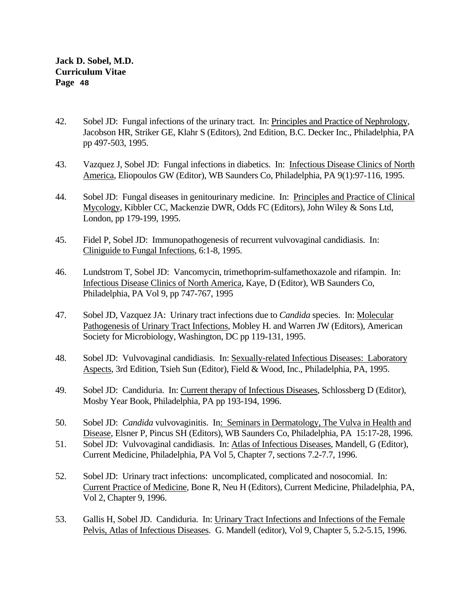- 42. Sobel JD: Fungal infections of the urinary tract. In: Principles and Practice of Nephrology, Jacobson HR, Striker GE, Klahr S (Editors), 2nd Edition, B.C. Decker Inc., Philadelphia, PA pp 497-503, 1995.
- 43. Vazquez J, Sobel JD: Fungal infections in diabetics. In: Infectious Disease Clinics of North America, Eliopoulos GW (Editor), WB Saunders Co, Philadelphia, PA 9(1):97-116, 1995.
- 44. Sobel JD: Fungal diseases in genitourinary medicine. In: Principles and Practice of Clinical Mycology, Kibbler CC, Mackenzie DWR, Odds FC (Editors), John Wiley & Sons Ltd, London, pp 179-199, 1995.
- 45. Fidel P, Sobel JD: Immunopathogenesis of recurrent vulvovaginal candidiasis. In: Cliniguide to Fungal Infections, 6:1-8, 1995.
- 46. Lundstrom T, Sobel JD: Vancomycin, trimethoprim-sulfamethoxazole and rifampin. In: Infectious Disease Clinics of North America, Kaye, D (Editor), WB Saunders Co, Philadelphia, PA Vol 9, pp 747-767, 1995
- 47. Sobel JD, Vazquez JA: Urinary tract infections due to *Candida* species. In: Molecular Pathogenesis of Urinary Tract Infections, Mobley H. and Warren JW (Editors), American Society for Microbiology, Washington, DC pp 119-131, 1995.
- 48. Sobel JD: Vulvovaginal candidiasis. In: Sexually-related Infectious Diseases: Laboratory Aspects, 3rd Edition, Tsieh Sun (Editor), Field & Wood, Inc., Philadelphia, PA, 1995.
- 49. Sobel JD: Candiduria. In: Current therapy of Infectious Diseases, Schlossberg D (Editor), Mosby Year Book, Philadelphia, PA pp 193-194, 1996.
- 50. Sobel JD: *Candida* vulvovaginitis. In: Seminars in Dermatology, The Vulva in Health and Disease, Elsner P, Pincus SH (Editors), WB Saunders Co, Philadelphia, PA 15:17-28, 1996.
- 51. Sobel JD: Vulvovaginal candidiasis. In: Atlas of Infectious Diseases, Mandell, G (Editor), Current Medicine, Philadelphia, PA Vol 5, Chapter 7, sections 7.2-7.7, 1996.
- 52. Sobel JD: Urinary tract infections: uncomplicated, complicated and nosocomial. In: Current Practice of Medicine, Bone R, Neu H (Editors), Current Medicine, Philadelphia, PA, Vol 2, Chapter 9, 1996.
- 53. Gallis H, Sobel JD. Candiduria. In: Urinary Tract Infections and Infections of the Female Pelvis, Atlas of Infectious Diseases. G. Mandell (editor), Vol 9, Chapter 5, 5.2-5.15, 1996.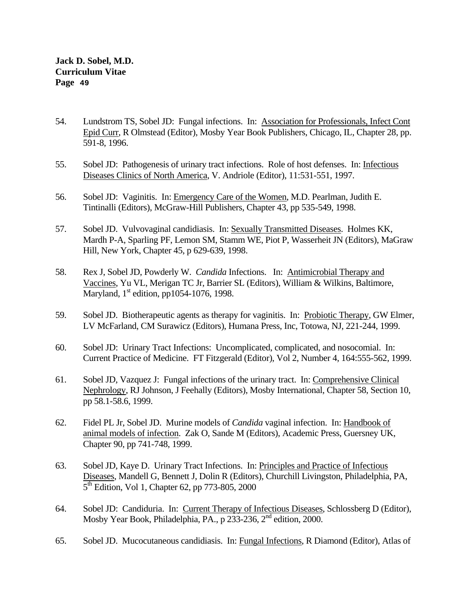- 54. Lundstrom TS, Sobel JD: Fungal infections. In: Association for Professionals, Infect Cont Epid Curr, R Olmstead (Editor), Mosby Year Book Publishers, Chicago, IL, Chapter 28, pp. 591-8, 1996.
- 55. Sobel JD: Pathogenesis of urinary tract infections. Role of host defenses. In: Infectious Diseases Clinics of North America, V. Andriole (Editor), 11:531-551, 1997.
- 56. Sobel JD: Vaginitis. In: Emergency Care of the Women, M.D. Pearlman, Judith E. Tintinalli (Editors), McGraw-Hill Publishers, Chapter 43, pp 535-549, 1998.
- 57. Sobel JD. Vulvovaginal candidiasis. In: Sexually Transmitted Diseases. Holmes KK, Mardh P-A, Sparling PF, Lemon SM, Stamm WE, Piot P, Wasserheit JN (Editors), MaGraw Hill, New York, Chapter 45, p 629-639, 1998.
- 58. Rex J, Sobel JD, Powderly W. *Candida* Infections. In: Antimicrobial Therapy and Vaccines, Yu VL, Merigan TC Jr, Barrier SL (Editors), William & Wilkins, Baltimore, Maryland,  $1<sup>st</sup>$  edition, pp1054-1076, 1998.
- 59. Sobel JD. Biotherapeutic agents as therapy for vaginitis. In: Probiotic Therapy, GW Elmer, LV McFarland, CM Surawicz (Editors), Humana Press, Inc, Totowa, NJ, 221-244, 1999.
- 60. Sobel JD: Urinary Tract Infections: Uncomplicated, complicated, and nosocomial. In: Current Practice of Medicine. FT Fitzgerald (Editor), Vol 2, Number 4, 164:555-562, 1999.
- 61. Sobel JD, Vazquez J: Fungal infections of the urinary tract. In: Comprehensive Clinical Nephrology, RJ Johnson, J Feehally (Editors), Mosby International, Chapter 58, Section 10, pp 58.1-58.6, 1999.
- 62. Fidel PL Jr, Sobel JD. Murine models of *Candida* vaginal infection. In: Handbook of animal models of infection. Zak O, Sande M (Editors), Academic Press, Guersney UK, Chapter 90, pp 741-748, 1999.
- 63. Sobel JD, Kaye D. Urinary Tract Infections. In: Principles and Practice of Infectious Diseases, Mandell G, Bennett J, Dolin R (Editors), Churchill Livingston, Philadelphia, PA, 5<sup>th</sup> Edition, Vol 1, Chapter 62, pp 773-805, 2000
- 64. Sobel JD: Candiduria. In: Current Therapy of Infectious Diseases, Schlossberg D (Editor), Mosby Year Book, Philadelphia, PA., p 233-236,  $2<sup>nd</sup>$  edition, 2000.
- 65. Sobel JD. Mucocutaneous candidiasis. In: Fungal Infections, R Diamond (Editor), Atlas of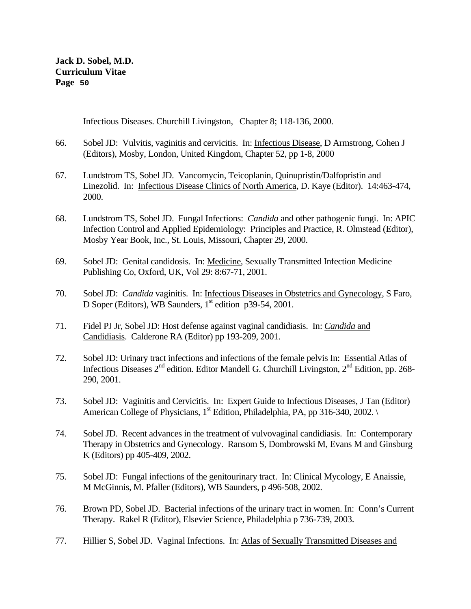Infectious Diseases. Churchill Livingston, Chapter 8; 118-136, 2000.

- 66. Sobel JD: Vulvitis, vaginitis and cervicitis. In: Infectious Disease, D Armstrong, Cohen J (Editors), Mosby, London, United Kingdom, Chapter 52, pp 1-8, 2000
- 67. Lundstrom TS, Sobel JD. Vancomycin, Teicoplanin, Quinupristin/Dalfopristin and Linezolid. In: Infectious Disease Clinics of North America, D. Kaye (Editor). 14:463-474, 2000.
- 68. Lundstrom TS, Sobel JD. Fungal Infections: *Candida* and other pathogenic fungi. In: APIC Infection Control and Applied Epidemiology: Principles and Practice, R. Olmstead (Editor), Mosby Year Book, Inc., St. Louis, Missouri, Chapter 29, 2000.
- 69. Sobel JD: Genital candidosis. In: Medicine, Sexually Transmitted Infection Medicine Publishing Co, Oxford, UK, Vol 29: 8:67-71, 2001.
- 70. Sobel JD: *Candida* vaginitis. In: Infectious Diseases in Obstetrics and Gynecology, S Faro, D Soper (Editors), WB Saunders,  $1<sup>st</sup>$  edition p39-54, 2001.
- 71. Fidel PJ Jr, Sobel JD: Host defense against vaginal candidiasis. In: *Candida* and Candidiasis. Calderone RA (Editor) pp 193-209, 2001.
- 72. Sobel JD: Urinary tract infections and infections of the female pelvis In: Essential Atlas of Infectious Diseases  $2^{nd}$  edition. Editor Mandell G. Churchill Livingston,  $2^{nd}$  Edition, pp. 268-290, 2001.
- 73. Sobel JD: Vaginitis and Cervicitis. In: Expert Guide to Infectious Diseases, J Tan (Editor) American College of Physicians,  $1<sup>st</sup>$  Edition, Philadelphia, PA, pp 316-340, 2002.
- 74. Sobel JD. Recent advances in the treatment of vulvovaginal candidiasis. In: Contemporary Therapy in Obstetrics and Gynecology. Ransom S, Dombrowski M, Evans M and Ginsburg K (Editors) pp 405-409, 2002.
- 75. Sobel JD: Fungal infections of the genitourinary tract. In: Clinical Mycology, E Anaissie, M McGinnis, M. Pfaller (Editors), WB Saunders, p 496-508, 2002.
- 76. Brown PD, Sobel JD. Bacterial infections of the urinary tract in women. In: Conn's Current Therapy. Rakel R (Editor), Elsevier Science, Philadelphia p 736-739, 2003.
- 77. Hillier S, Sobel JD. Vaginal Infections. In: Atlas of Sexually Transmitted Diseases and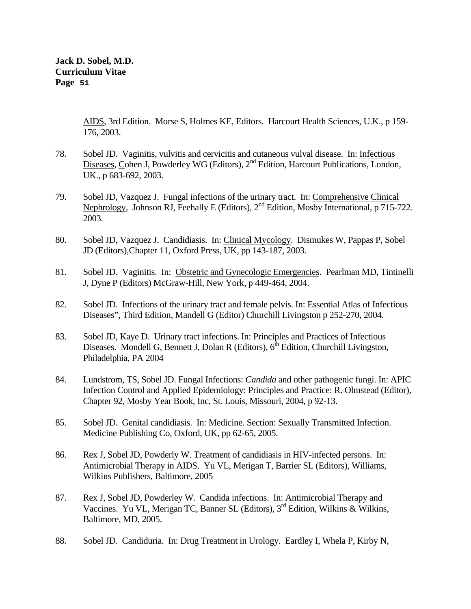> AIDS, 3rd Edition. Morse S, Holmes KE, Editors. Harcourt Health Sciences, U.K., p 159- 176, 2003.

- 78. Sobel JD. Vaginitis, vulvitis and cervicitis and cutaneous vulval disease. In: Infectious Diseases, Cohen J, Powderley WG (Editors), 2<sup>nd</sup> Edition, Harcourt Publications, London, UK., p 683-692, 2003.
- 79. Sobel JD, Vazquez J. Fungal infections of the urinary tract. In: Comprehensive Clinical Nephrology, Johnson RJ, Feehally E (Editors), 2<sup>nd</sup> Edition, Mosby International, p 715-722. 2003.
- 80. Sobel JD, Vazquez J. Candidiasis. In: Clinical Mycology. Dismukes W, Pappas P, Sobel JD (Editors),Chapter 11, Oxford Press, UK, pp 143-187, 2003.
- 81. Sobel JD. Vaginitis. In: Obstetric and Gynecologic Emergencies. Pearlman MD, Tintinelli J, Dyne P (Editors) McGraw-Hill, New York, p 449-464, 2004.
- 82. Sobel JD. Infections of the urinary tract and female pelvis. In: Essential Atlas of Infectious Diseases", Third Edition, Mandell G (Editor) Churchill Livingston p 252-270, 2004.
- 83. Sobel JD, Kaye D. Urinary tract infections. In: Principles and Practices of Infectious Diseases. Mondell G, Bennett J, Dolan R (Editors),  $6<sup>th</sup>$  Edition, Churchill Livingston, Philadelphia, PA 2004
- 84. Lundstrom, TS, Sobel JD. Fungal Infections: *Candida* and other pathogenic fungi. In: APIC Infection Control and Applied Epidemiology: Principles and Practice: R. Olmstead (Editor), Chapter 92, Mosby Year Book, Inc, St. Louis, Missouri, 2004, p 92-13.
- 85. Sobel JD. Genital candidiasis. In: Medicine. Section: Sexually Transmitted Infection. Medicine Publishing Co, Oxford, UK, pp 62-65, 2005.
- 86. Rex J, Sobel JD, Powderly W. Treatment of candidiasis in HIV-infected persons. In: Antimicrobial Therapy in AIDS. Yu VL, Merigan T, Barrier SL (Editors), Williams, Wilkins Publishers, Baltimore, 2005
- 87. Rex J, Sobel JD, Powderley W. Candida infections. In: Antimicrobial Therapy and Vaccines. Yu VL, Merigan TC, Banner SL (Editors), 3rd Edition, Wilkins & Wilkins, Baltimore, MD, 2005.
- 88. Sobel JD. Candiduria. In: Drug Treatment in Urology. Eardley I, Whela P, Kirby N,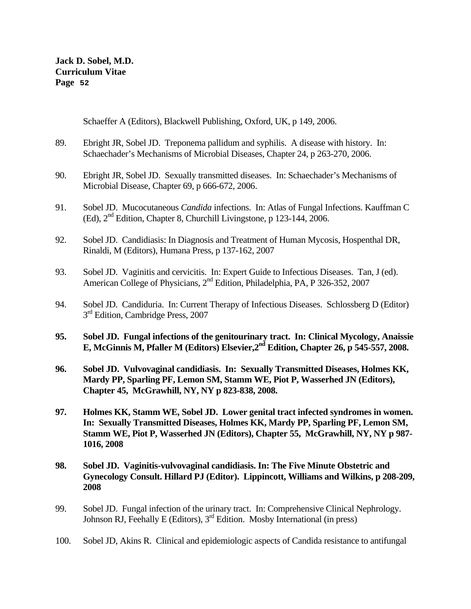Schaeffer A (Editors), Blackwell Publishing, Oxford, UK, p 149, 2006.

- 89. Ebright JR, Sobel JD. Treponema pallidum and syphilis. A disease with history. In: Schaechader's Mechanisms of Microbial Diseases, Chapter 24, p 263-270, 2006.
- 90. Ebright JR, Sobel JD. Sexually transmitted diseases. In: Schaechader's Mechanisms of Microbial Disease, Chapter 69, p 666-672, 2006.
- 91. Sobel JD. Mucocutaneous *Candida* infections. In: Atlas of Fungal Infections. Kauffman C (Ed), 2nd Edition, Chapter 8, Churchill Livingstone, p 123-144, 2006.
- 92. Sobel JD. Candidiasis: In Diagnosis and Treatment of Human Mycosis, Hospenthal DR, Rinaldi, M (Editors), Humana Press, p 137-162, 2007
- 93. Sobel JD. Vaginitis and cervicitis. In: Expert Guide to Infectious Diseases. Tan, J (ed). American College of Physicians, 2<sup>nd</sup> Edition, Philadelphia, PA, P 326-352, 2007
- 94. Sobel JD. Candiduria. In: Current Therapy of Infectious Diseases. Schlossberg D (Editor) 3<sup>rd</sup> Edition, Cambridge Press, 2007
- **95. Sobel JD. Fungal infections of the genitourinary tract. In: Clinical Mycology, Anaissie E, McGinnis M, Pfaller M (Editors) Elsevier,2nd Edition, Chapter 26, p 545-557, 2008.**
- **96. Sobel JD. Vulvovaginal candidiasis. In: Sexually Transmitted Diseases, Holmes KK, Mardy PP, Sparling PF, Lemon SM, Stamm WE, Piot P, Wasserhed JN (Editors), Chapter 45, McGrawhill, NY, NY p 823-838, 2008.**
- **97. Holmes KK, Stamm WE, Sobel JD. Lower genital tract infected syndromes in women. In: Sexually Transmitted Diseases, Holmes KK, Mardy PP, Sparling PF, Lemon SM, Stamm WE, Piot P, Wasserhed JN (Editors), Chapter 55, McGrawhill, NY, NY p 987- 1016, 2008**
- **98. Sobel JD. Vaginitis-vulvovaginal candidiasis. In: The Five Minute Obstetric and Gynecology Consult. Hillard PJ (Editor). Lippincott, Williams and Wilkins, p 208-209, 2008**
- 99. Sobel JD. Fungal infection of the urinary tract. In: Comprehensive Clinical Nephrology. Johnson RJ, Feehally E (Editors),  $3<sup>rd</sup>$  Edition. Mosby International (in press)
- 100. Sobel JD, Akins R. Clinical and epidemiologic aspects of Candida resistance to antifungal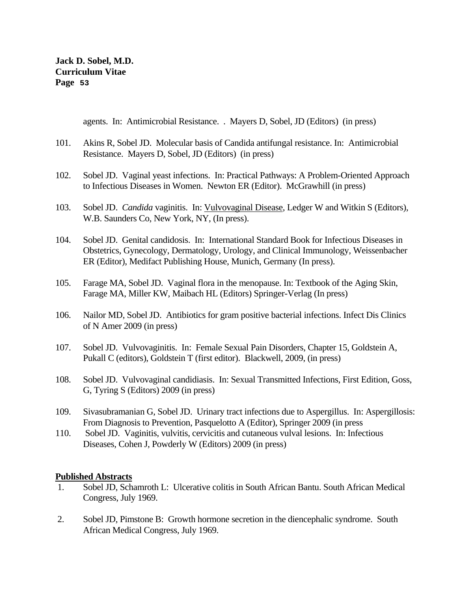agents. In: Antimicrobial Resistance. . Mayers D, Sobel, JD (Editors) (in press)

- 101. Akins R, Sobel JD. Molecular basis of Candida antifungal resistance. In: Antimicrobial Resistance. Mayers D, Sobel, JD (Editors) (in press)
- 102. Sobel JD. Vaginal yeast infections. In: Practical Pathways: A Problem-Oriented Approach to Infectious Diseases in Women. Newton ER (Editor). McGrawhill (in press)
- 103. Sobel JD. *Candida* vaginitis. In: Vulvovaginal Disease, Ledger W and Witkin S (Editors), W.B. Saunders Co, New York, NY, (In press).
- 104. Sobel JD. Genital candidosis. In: International Standard Book for Infectious Diseases in Obstetrics, Gynecology, Dermatology, Urology, and Clinical Immunology, Weissenbacher ER (Editor), Medifact Publishing House, Munich, Germany (In press).
- 105. Farage MA, Sobel JD. Vaginal flora in the menopause. In: Textbook of the Aging Skin, Farage MA, Miller KW, Maibach HL (Editors) Springer-Verlag (In press)
- 106. Nailor MD, Sobel JD. Antibiotics for gram positive bacterial infections. Infect Dis Clinics of N Amer 2009 (in press)
- 107. Sobel JD. Vulvovaginitis. In: Female Sexual Pain Disorders, Chapter 15, Goldstein A, Pukall C (editors), Goldstein T (first editor). Blackwell, 2009, (in press)
- 108. Sobel JD. Vulvovaginal candidiasis. In: Sexual Transmitted Infections, First Edition, Goss, G, Tyring S (Editors) 2009 (in press)
- 109. Sivasubramanian G, Sobel JD. Urinary tract infections due to Aspergillus. In: Aspergillosis: From Diagnosis to Prevention, Pasquelotto A (Editor), Springer 2009 (in press
- 110. Sobel JD. Vaginitis, vulvitis, cervicitis and cutaneous vulval lesions. In: Infectious Diseases, Cohen J, Powderly W (Editors) 2009 (in press)

## **Published Abstracts**

- 1. Sobel JD, Schamroth L: Ulcerative colitis in South African Bantu. South African Medical Congress, July 1969.
- 2. Sobel JD, Pimstone B: Growth hormone secretion in the diencephalic syndrome. South African Medical Congress, July 1969.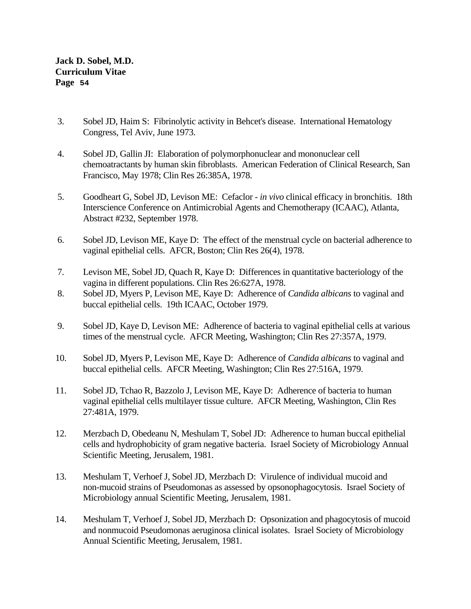- 3. Sobel JD, Haim S: Fibrinolytic activity in Behcet's disease. International Hematology Congress, Tel Aviv, June 1973.
- 4. Sobel JD, Gallin JI: Elaboration of polymorphonuclear and mononuclear cell chemoatractants by human skin fibroblasts. American Federation of Clinical Research, San Francisco, May 1978; Clin Res 26:385A, 1978.
- 5. Goodheart G, Sobel JD, Levison ME: Cefaclor *in vivo* clinical efficacy in bronchitis. 18th Interscience Conference on Antimicrobial Agents and Chemotherapy (ICAAC), Atlanta, Abstract #232, September 1978.
- 6. Sobel JD, Levison ME, Kaye D: The effect of the menstrual cycle on bacterial adherence to vaginal epithelial cells. AFCR, Boston; Clin Res 26(4), 1978.
- 7. Levison ME, Sobel JD, Quach R, Kaye D: Differences in quantitative bacteriology of the vagina in different populations. Clin Res 26:627A, 1978.
- 8. Sobel JD, Myers P, Levison ME, Kaye D: Adherence of *Candida albicans* to vaginal and buccal epithelial cells. 19th ICAAC, October 1979.
- 9. Sobel JD, Kaye D, Levison ME: Adherence of bacteria to vaginal epithelial cells at various times of the menstrual cycle. AFCR Meeting, Washington; Clin Res 27:357A, 1979.
- 10. Sobel JD, Myers P, Levison ME, Kaye D: Adherence of *Candida albicans* to vaginal and buccal epithelial cells. AFCR Meeting, Washington; Clin Res 27:516A, 1979.
- 11. Sobel JD, Tchao R, Bazzolo J, Levison ME, Kaye D: Adherence of bacteria to human vaginal epithelial cells multilayer tissue culture. AFCR Meeting, Washington, Clin Res 27:481A, 1979.
- 12. Merzbach D, Obedeanu N, Meshulam T, Sobel JD: Adherence to human buccal epithelial cells and hydrophobicity of gram negative bacteria. Israel Society of Microbiology Annual Scientific Meeting, Jerusalem, 1981.
- 13. Meshulam T, Verhoef J, Sobel JD, Merzbach D: Virulence of individual mucoid and non-mucoid strains of Pseudomonas as assessed by opsonophagocytosis. Israel Society of Microbiology annual Scientific Meeting, Jerusalem, 1981.
- 14. Meshulam T, Verhoef J, Sobel JD, Merzbach D: Opsonization and phagocytosis of mucoid and nonmucoid Pseudomonas aeruginosa clinical isolates. Israel Society of Microbiology Annual Scientific Meeting, Jerusalem, 1981.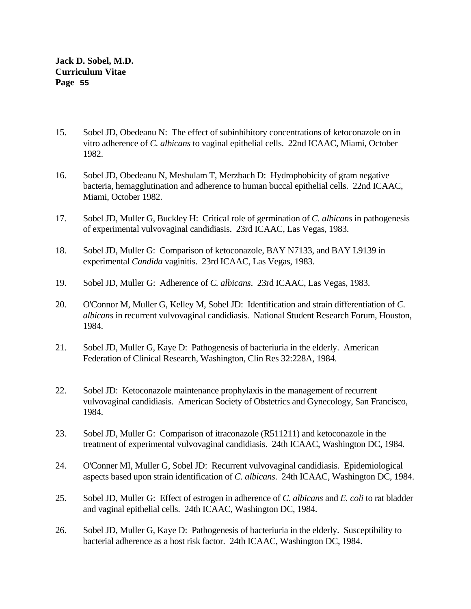- 15. Sobel JD, Obedeanu N: The effect of subinhibitory concentrations of ketoconazole on in vitro adherence of *C. albicans* to vaginal epithelial cells. 22nd ICAAC, Miami, October 1982.
- 16. Sobel JD, Obedeanu N, Meshulam T, Merzbach D: Hydrophobicity of gram negative bacteria, hemagglutination and adherence to human buccal epithelial cells. 22nd ICAAC, Miami, October 1982.
- 17. Sobel JD, Muller G, Buckley H: Critical role of germination of *C. albicans* in pathogenesis of experimental vulvovaginal candidiasis. 23rd ICAAC, Las Vegas, 1983.
- 18. Sobel JD, Muller G: Comparison of ketoconazole, BAY N7133, and BAY L9139 in experimental *Candida* vaginitis. 23rd ICAAC, Las Vegas, 1983.
- 19. Sobel JD, Muller G: Adherence of *C. albicans*. 23rd ICAAC, Las Vegas, 1983.
- 20. O'Connor M, Muller G, Kelley M, Sobel JD: Identification and strain differentiation of *C*. *albicans* in recurrent vulvovaginal candidiasis. National Student Research Forum, Houston, 1984.
- 21. Sobel JD, Muller G, Kaye D: Pathogenesis of bacteriuria in the elderly. American Federation of Clinical Research, Washington, Clin Res 32:228A, 1984.
- 22. Sobel JD: Ketoconazole maintenance prophylaxis in the management of recurrent vulvovaginal candidiasis. American Society of Obstetrics and Gynecology, San Francisco, 1984.
- 23. Sobel JD, Muller G: Comparison of itraconazole (R511211) and ketoconazole in the treatment of experimental vulvovaginal candidiasis. 24th ICAAC, Washington DC, 1984.
- 24. O'Conner MI, Muller G, Sobel JD: Recurrent vulvovaginal candidiasis. Epidemiological aspects based upon strain identification of *C. albicans*. 24th ICAAC, Washington DC, 1984.
- 25. Sobel JD, Muller G: Effect of estrogen in adherence of *C. albicans* and *E. coli* to rat bladder and vaginal epithelial cells. 24th ICAAC, Washington DC, 1984.
- 26. Sobel JD, Muller G, Kaye D: Pathogenesis of bacteriuria in the elderly. Susceptibility to bacterial adherence as a host risk factor. 24th ICAAC, Washington DC, 1984.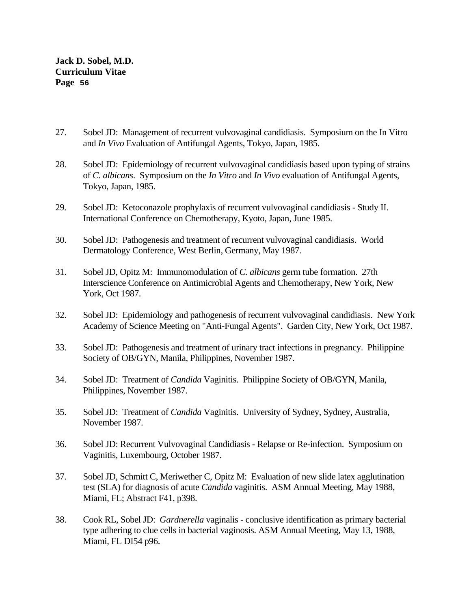- 27. Sobel JD: Management of recurrent vulvovaginal candidiasis. Symposium on the In Vitro and *In Vivo* Evaluation of Antifungal Agents, Tokyo, Japan, 1985.
- 28. Sobel JD: Epidemiology of recurrent vulvovaginal candidiasis based upon typing of strains of *C. albicans*. Symposium on the *In Vitro* and *In Vivo* evaluation of Antifungal Agents, Tokyo, Japan, 1985.
- 29. Sobel JD: Ketoconazole prophylaxis of recurrent vulvovaginal candidiasis Study II. International Conference on Chemotherapy, Kyoto, Japan, June 1985.
- 30. Sobel JD: Pathogenesis and treatment of recurrent vulvovaginal candidiasis. World Dermatology Conference, West Berlin, Germany, May 1987.
- 31. Sobel JD, Opitz M: Immunomodulation of *C. albicans* germ tube formation. 27th Interscience Conference on Antimicrobial Agents and Chemotherapy, New York, New York, Oct 1987.
- 32. Sobel JD: Epidemiology and pathogenesis of recurrent vulvovaginal candidiasis. New York Academy of Science Meeting on "Anti-Fungal Agents". Garden City, New York, Oct 1987.
- 33. Sobel JD: Pathogenesis and treatment of urinary tract infections in pregnancy. Philippine Society of OB/GYN, Manila, Philippines, November 1987.
- 34. Sobel JD: Treatment of *Candida* Vaginitis. Philippine Society of OB/GYN, Manila, Philippines, November 1987.
- 35. Sobel JD: Treatment of *Candida* Vaginitis. University of Sydney, Sydney, Australia, November 1987.
- 36. Sobel JD: Recurrent Vulvovaginal Candidiasis Relapse or Re-infection. Symposium on Vaginitis, Luxembourg, October 1987.
- 37. Sobel JD, Schmitt C, Meriwether C, Opitz M: Evaluation of new slide latex agglutination test (SLA) for diagnosis of acute *Candida* vaginitis. ASM Annual Meeting, May 1988, Miami, FL; Abstract F41, p398.
- 38. Cook RL, Sobel JD: *Gardnerella* vaginalis conclusive identification as primary bacterial type adhering to clue cells in bacterial vaginosis. ASM Annual Meeting, May 13, 1988, Miami, FL DI54 p96.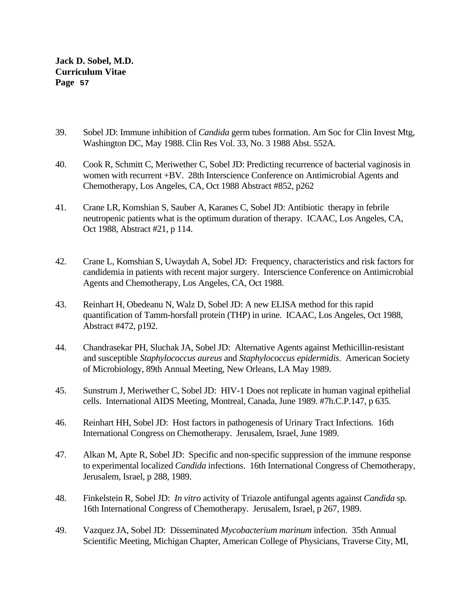- 39. Sobel JD: Immune inhibition of *Candida* germ tubes formation. Am Soc for Clin Invest Mtg, Washington DC, May 1988. Clin Res Vol. 33, No. 3 1988 Abst. 552A.
- 40. Cook R, Schmitt C, Meriwether C, Sobel JD: Predicting recurrence of bacterial vaginosis in women with recurrent +BV. 28th Interscience Conference on Antimicrobial Agents and Chemotherapy, Los Angeles, CA, Oct 1988 Abstract #852, p262
- 41. Crane LR, Komshian S, Sauber A, Karanes C, Sobel JD: Antibiotic therapy in febrile neutropenic patients what is the optimum duration of therapy. ICAAC, Los Angeles, CA, Oct 1988, Abstract #21, p 114.
- 42. Crane L, Komshian S, Uwaydah A, Sobel JD: Frequency, characteristics and risk factors for candidemia in patients with recent major surgery. Interscience Conference on Antimicrobial Agents and Chemotherapy, Los Angeles, CA, Oct 1988.
- 43. Reinhart H, Obedeanu N, Walz D, Sobel JD: A new ELISA method for this rapid quantification of Tamm-horsfall protein (THP) in urine. ICAAC, Los Angeles, Oct 1988, Abstract #472, p192.
- 44. Chandrasekar PH, Sluchak JA, Sobel JD: Alternative Agents against Methicillin-resistant and susceptible *Staphylococcus aureus* and *Staphylococcus epidermidis*. American Society of Microbiology, 89th Annual Meeting, New Orleans, LA May 1989.
- 45. Sunstrum J, Meriwether C, Sobel JD: HIV-1 Does not replicate in human vaginal epithelial cells. International AIDS Meeting, Montreal, Canada, June 1989. #7h.C.P.147, p 635.
- 46. Reinhart HH, Sobel JD: Host factors in pathogenesis of Urinary Tract Infections. 16th International Congress on Chemotherapy. Jerusalem, Israel, June 1989.
- 47. Alkan M, Apte R, Sobel JD: Specific and non-specific suppression of the immune response to experimental localized *Candida* infections. 16th International Congress of Chemotherapy, Jerusalem, Israel, p 288, 1989.
- 48. Finkelstein R, Sobel JD: *In vitro* activity of Triazole antifungal agents against *Candida* sp. 16th International Congress of Chemotherapy. Jerusalem, Israel, p 267, 1989.
- 49. Vazquez JA, Sobel JD: Disseminated *Mycobacterium marinum* infection. 35th Annual Scientific Meeting, Michigan Chapter, American College of Physicians, Traverse City, MI,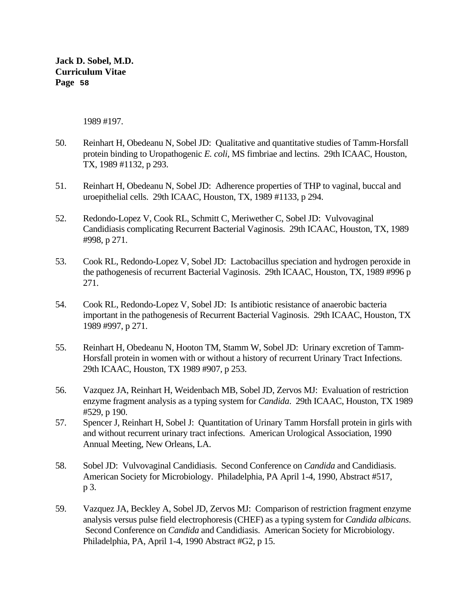1989 #197.

- 50. Reinhart H, Obedeanu N, Sobel JD: Qualitative and quantitative studies of Tamm-Horsfall protein binding to Uropathogenic *E. coli*, MS fimbriae and lectins. 29th ICAAC, Houston, TX, 1989 #1132, p 293.
- 51. Reinhart H, Obedeanu N, Sobel JD: Adherence properties of THP to vaginal, buccal and uroepithelial cells. 29th ICAAC, Houston, TX, 1989 #1133, p 294.
- 52. Redondo-Lopez V, Cook RL, Schmitt C, Meriwether C, Sobel JD: Vulvovaginal Candidiasis complicating Recurrent Bacterial Vaginosis. 29th ICAAC, Houston, TX, 1989 #998, p 271.
- 53. Cook RL, Redondo-Lopez V, Sobel JD: Lactobacillus speciation and hydrogen peroxide in the pathogenesis of recurrent Bacterial Vaginosis. 29th ICAAC, Houston, TX, 1989 #996 p 271.
- 54. Cook RL, Redondo-Lopez V, Sobel JD: Is antibiotic resistance of anaerobic bacteria important in the pathogenesis of Recurrent Bacterial Vaginosis. 29th ICAAC, Houston, TX 1989 #997, p 271.
- 55. Reinhart H, Obedeanu N, Hooton TM, Stamm W, Sobel JD: Urinary excretion of Tamm-Horsfall protein in women with or without a history of recurrent Urinary Tract Infections. 29th ICAAC, Houston, TX 1989 #907, p 253.
- 56. Vazquez JA, Reinhart H, Weidenbach MB, Sobel JD, Zervos MJ: Evaluation of restriction enzyme fragment analysis as a typing system for *Candida*. 29th ICAAC, Houston, TX 1989 #529, p 190.
- 57. Spencer J, Reinhart H, Sobel J: Quantitation of Urinary Tamm Horsfall protein in girls with and without recurrent urinary tract infections. American Urological Association, 1990 Annual Meeting, New Orleans, LA.
- 58. Sobel JD: Vulvovaginal Candidiasis. Second Conference on *Candida* and Candidiasis. American Society for Microbiology. Philadelphia, PA April 1-4, 1990, Abstract #517, p 3.
- 59. Vazquez JA, Beckley A, Sobel JD, Zervos MJ: Comparison of restriction fragment enzyme analysis versus pulse field electrophoresis (CHEF) as a typing system for *Candida albicans*. Second Conference on *Candida* and Candidiasis. American Society for Microbiology. Philadelphia, PA, April 1-4, 1990 Abstract #G2, p 15.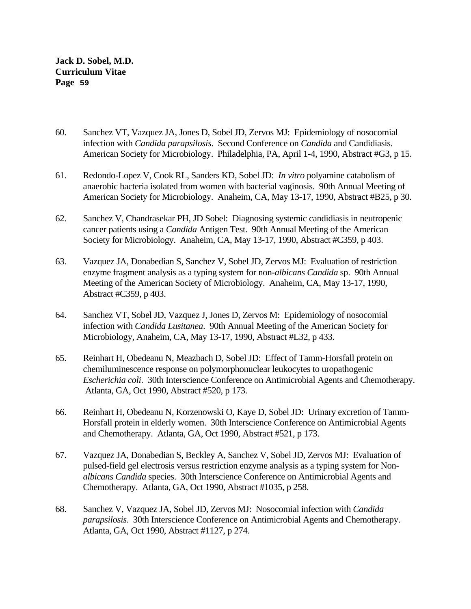- 60. Sanchez VT, Vazquez JA, Jones D, Sobel JD, Zervos MJ: Epidemiology of nosocomial infection with *Candida parapsilosis*. Second Conference on *Candida* and Candidiasis. American Society for Microbiology. Philadelphia, PA, April 1-4, 1990, Abstract #G3, p 15.
- 61. Redondo-Lopez V, Cook RL, Sanders KD, Sobel JD: *In vitro* polyamine catabolism of anaerobic bacteria isolated from women with bacterial vaginosis. 90th Annual Meeting of American Society for Microbiology. Anaheim, CA, May 13-17, 1990, Abstract #B25, p 30.
- 62. Sanchez V, Chandrasekar PH, JD Sobel: Diagnosing systemic candidiasis in neutropenic cancer patients using a *Candida* Antigen Test. 90th Annual Meeting of the American Society for Microbiology. Anaheim, CA, May 13-17, 1990, Abstract #C359, p 403.
- 63. Vazquez JA, Donabedian S, Sanchez V, Sobel JD, Zervos MJ: Evaluation of restriction enzyme fragment analysis as a typing system for non-*albicans Candida* sp. 90th Annual Meeting of the American Society of Microbiology. Anaheim, CA, May 13-17, 1990, Abstract #C359, p 403.
- 64. Sanchez VT, Sobel JD, Vazquez J, Jones D, Zervos M: Epidemiology of nosocomial infection with *Candida Lusitanea*. 90th Annual Meeting of the American Society for Microbiology, Anaheim, CA, May 13-17, 1990, Abstract #L32, p 433.
- 65. Reinhart H, Obedeanu N, Meazbach D, Sobel JD: Effect of Tamm-Horsfall protein on chemiluminescence response on polymorphonuclear leukocytes to uropathogenic *Escherichia coli*. 30th Interscience Conference on Antimicrobial Agents and Chemotherapy. Atlanta, GA, Oct 1990, Abstract #520, p 173.
- 66. Reinhart H, Obedeanu N, Korzenowski O, Kaye D, Sobel JD: Urinary excretion of Tamm-Horsfall protein in elderly women. 30th Interscience Conference on Antimicrobial Agents and Chemotherapy. Atlanta, GA, Oct 1990, Abstract #521, p 173.
- 67. Vazquez JA, Donabedian S, Beckley A, Sanchez V, Sobel JD, Zervos MJ: Evaluation of pulsed-field gel electrosis versus restriction enzyme analysis as a typing system for Non*albicans Candida* species. 30th Interscience Conference on Antimicrobial Agents and Chemotherapy. Atlanta, GA, Oct 1990, Abstract #1035, p 258.
- 68. Sanchez V, Vazquez JA, Sobel JD, Zervos MJ: Nosocomial infection with *Candida parapsilosis*. 30th Interscience Conference on Antimicrobial Agents and Chemotherapy. Atlanta, GA, Oct 1990, Abstract #1127, p 274.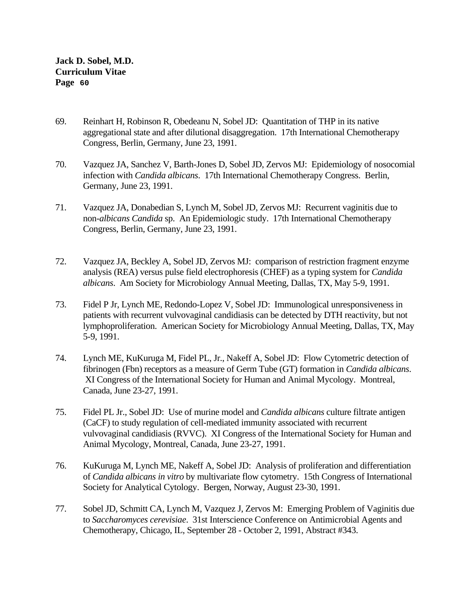- 69. Reinhart H, Robinson R, Obedeanu N, Sobel JD: Quantitation of THP in its native aggregational state and after dilutional disaggregation. 17th International Chemotherapy Congress, Berlin, Germany, June 23, 1991.
- 70. Vazquez JA, Sanchez V, Barth-Jones D, Sobel JD, Zervos MJ: Epidemiology of nosocomial infection with *Candida albicans*. 17th International Chemotherapy Congress. Berlin, Germany, June 23, 1991.
- 71. Vazquez JA, Donabedian S, Lynch M, Sobel JD, Zervos MJ: Recurrent vaginitis due to non-*albicans Candida* sp. An Epidemiologic study. 17th International Chemotherapy Congress, Berlin, Germany, June 23, 1991.
- 72. Vazquez JA, Beckley A, Sobel JD, Zervos MJ: comparison of restriction fragment enzyme analysis (REA) versus pulse field electrophoresis (CHEF) as a typing system for *Candida albicans*. Am Society for Microbiology Annual Meeting, Dallas, TX, May 5-9, 1991.
- 73. Fidel P Jr, Lynch ME, Redondo-Lopez V, Sobel JD: Immunological unresponsiveness in patients with recurrent vulvovaginal candidiasis can be detected by DTH reactivity, but not lymphoproliferation. American Society for Microbiology Annual Meeting, Dallas, TX, May 5-9, 1991.
- 74. Lynch ME, KuKuruga M, Fidel PL, Jr., Nakeff A, Sobel JD: Flow Cytometric detection of fibrinogen (Fbn) receptors as a measure of Germ Tube (GT) formation in *Candida albicans*. XI Congress of the International Society for Human and Animal Mycology. Montreal, Canada, June 23-27, 1991.
- 75. Fidel PL Jr., Sobel JD: Use of murine model and *Candida albicans* culture filtrate antigen (CaCF) to study regulation of cell-mediated immunity associated with recurrent vulvovaginal candidiasis (RVVC). XI Congress of the International Society for Human and Animal Mycology, Montreal, Canada, June 23-27, 1991.
- 76. KuKuruga M, Lynch ME, Nakeff A, Sobel JD: Analysis of proliferation and differentiation of *Candida albicans in vitro* by multivariate flow cytometry. 15th Congress of International Society for Analytical Cytology. Bergen, Norway, August 23-30, 1991.
- 77. Sobel JD, Schmitt CA, Lynch M, Vazquez J, Zervos M: Emerging Problem of Vaginitis due to *Saccharomyces cerevisiae*. 31st Interscience Conference on Antimicrobial Agents and Chemotherapy, Chicago, IL, September 28 - October 2, 1991, Abstract #343.